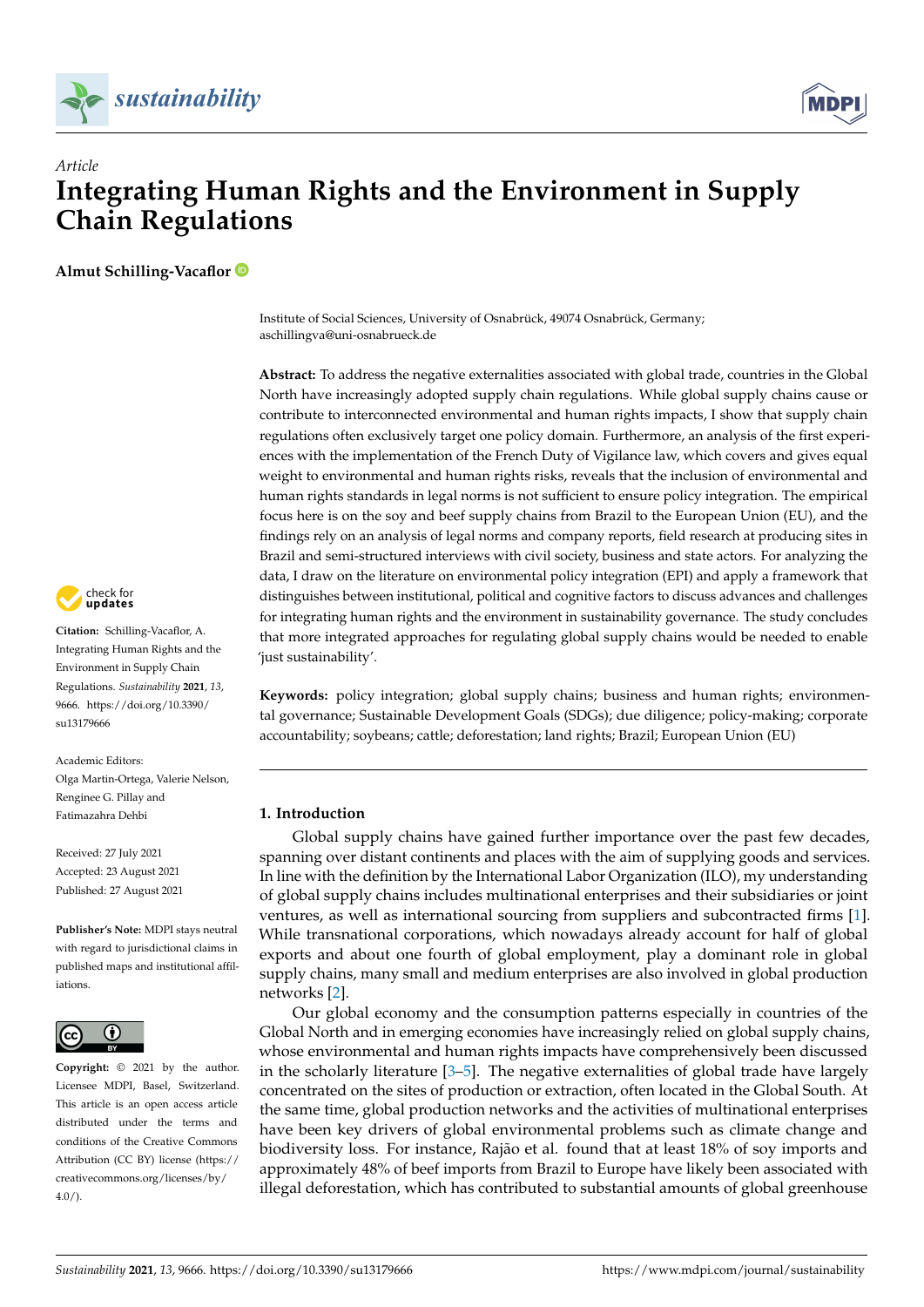



# *Article* **Integrating Human Rights and the Environment in Supply Chain Regulations**

**Almut Schilling-Vacaflor**

Institute of Social Sciences, University of Osnabrück, 49074 Osnabrück, Germany; aschillingva@uni-osnabrueck.de

**Abstract:** To address the negative externalities associated with global trade, countries in the Global North have increasingly adopted supply chain regulations. While global supply chains cause or contribute to interconnected environmental and human rights impacts, I show that supply chain regulations often exclusively target one policy domain. Furthermore, an analysis of the first experiences with the implementation of the French Duty of Vigilance law, which covers and gives equal weight to environmental and human rights risks, reveals that the inclusion of environmental and human rights standards in legal norms is not sufficient to ensure policy integration. The empirical focus here is on the soy and beef supply chains from Brazil to the European Union (EU), and the findings rely on an analysis of legal norms and company reports, field research at producing sites in Brazil and semi-structured interviews with civil society, business and state actors. For analyzing the data, I draw on the literature on environmental policy integration (EPI) and apply a framework that distinguishes between institutional, political and cognitive factors to discuss advances and challenges for integrating human rights and the environment in sustainability governance. The study concludes that more integrated approaches for regulating global supply chains would be needed to enable 'just sustainability'.

**Keywords:** policy integration; global supply chains; business and human rights; environmental governance; Sustainable Development Goals (SDGs); due diligence; policy-making; corporate accountability; soybeans; cattle; deforestation; land rights; Brazil; European Union (EU)

# **1. Introduction**

Global supply chains have gained further importance over the past few decades, spanning over distant continents and places with the aim of supplying goods and services. In line with the definition by the International Labor Organization (ILO), my understanding of global supply chains includes multinational enterprises and their subsidiaries or joint ventures, as well as international sourcing from suppliers and subcontracted firms [\[1\]](#page-12-0). While transnational corporations, which nowadays already account for half of global exports and about one fourth of global employment, play a dominant role in global supply chains, many small and medium enterprises are also involved in global production networks [\[2\]](#page-12-1).

Our global economy and the consumption patterns especially in countries of the Global North and in emerging economies have increasingly relied on global supply chains, whose environmental and human rights impacts have comprehensively been discussed in the scholarly literature  $[3-5]$  $[3-5]$ . The negative externalities of global trade have largely concentrated on the sites of production or extraction, often located in the Global South. At the same time, global production networks and the activities of multinational enterprises have been key drivers of global environmental problems such as climate change and biodiversity loss. For instance, Rajão et al. found that at least 18% of soy imports and approximately 48% of beef imports from Brazil to Europe have likely been associated with illegal deforestation, which has contributed to substantial amounts of global greenhouse



**Citation:** Schilling-Vacaflor, A. Integrating Human Rights and the Environment in Supply Chain Regulations. *Sustainability* **2021**, *13*, 9666. [https://doi.org/10.3390/](https://doi.org/10.3390/su13179666) [su13179666](https://doi.org/10.3390/su13179666)

Academic Editors: Olga Martin-Ortega, Valerie Nelson, Renginee G. Pillay and Fatimazahra Dehbi

Received: 27 July 2021 Accepted: 23 August 2021 Published: 27 August 2021

**Publisher's Note:** MDPI stays neutral with regard to jurisdictional claims in published maps and institutional affiliations.



**Copyright:** © 2021 by the author. Licensee MDPI, Basel, Switzerland. This article is an open access article distributed under the terms and conditions of the Creative Commons Attribution (CC BY) license (https:/[/](https://creativecommons.org/licenses/by/4.0/) [creativecommons.org/licenses/by/](https://creativecommons.org/licenses/by/4.0/) 4.0/).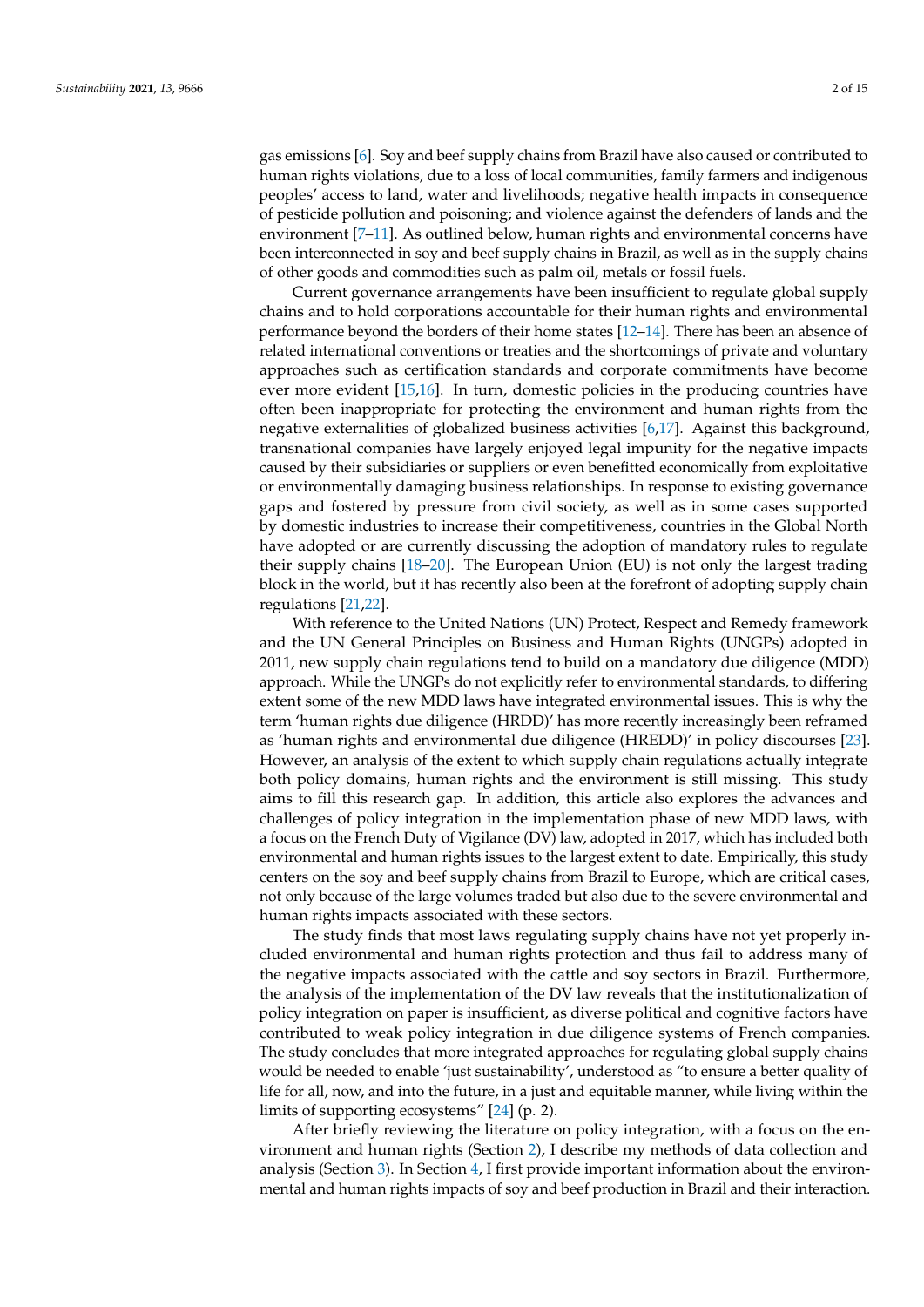gas emissions [\[6\]](#page-12-4). Soy and beef supply chains from Brazil have also caused or contributed to human rights violations, due to a loss of local communities, family farmers and indigenous peoples' access to land, water and livelihoods; negative health impacts in consequence of pesticide pollution and poisoning; and violence against the defenders of lands and the environment [\[7–](#page-12-5)[11\]](#page-12-6). As outlined below, human rights and environmental concerns have been interconnected in soy and beef supply chains in Brazil, as well as in the supply chains of other goods and commodities such as palm oil, metals or fossil fuels.

Current governance arrangements have been insufficient to regulate global supply chains and to hold corporations accountable for their human rights and environmental performance beyond the borders of their home states [\[12–](#page-12-7)[14\]](#page-13-0). There has been an absence of related international conventions or treaties and the shortcomings of private and voluntary approaches such as certification standards and corporate commitments have become ever more evident [\[15,](#page-13-1)[16\]](#page-13-2). In turn, domestic policies in the producing countries have often been inappropriate for protecting the environment and human rights from the negative externalities of globalized business activities [\[6,](#page-12-4)[17\]](#page-13-3). Against this background, transnational companies have largely enjoyed legal impunity for the negative impacts caused by their subsidiaries or suppliers or even benefitted economically from exploitative or environmentally damaging business relationships. In response to existing governance gaps and fostered by pressure from civil society, as well as in some cases supported by domestic industries to increase their competitiveness, countries in the Global North have adopted or are currently discussing the adoption of mandatory rules to regulate their supply chains [\[18](#page-13-4)[–20\]](#page-13-5). The European Union (EU) is not only the largest trading block in the world, but it has recently also been at the forefront of adopting supply chain regulations [\[21,](#page-13-6)[22\]](#page-13-7).

With reference to the United Nations (UN) Protect, Respect and Remedy framework and the UN General Principles on Business and Human Rights (UNGPs) adopted in 2011, new supply chain regulations tend to build on a mandatory due diligence (MDD) approach. While the UNGPs do not explicitly refer to environmental standards, to differing extent some of the new MDD laws have integrated environmental issues. This is why the term 'human rights due diligence (HRDD)' has more recently increasingly been reframed as 'human rights and environmental due diligence (HREDD)' in policy discourses [\[23\]](#page-13-8). However, an analysis of the extent to which supply chain regulations actually integrate both policy domains, human rights and the environment is still missing. This study aims to fill this research gap. In addition, this article also explores the advances and challenges of policy integration in the implementation phase of new MDD laws, with a focus on the French Duty of Vigilance (DV) law, adopted in 2017, which has included both environmental and human rights issues to the largest extent to date. Empirically, this study centers on the soy and beef supply chains from Brazil to Europe, which are critical cases, not only because of the large volumes traded but also due to the severe environmental and human rights impacts associated with these sectors.

The study finds that most laws regulating supply chains have not yet properly included environmental and human rights protection and thus fail to address many of the negative impacts associated with the cattle and soy sectors in Brazil. Furthermore, the analysis of the implementation of the DV law reveals that the institutionalization of policy integration on paper is insufficient, as diverse political and cognitive factors have contributed to weak policy integration in due diligence systems of French companies. The study concludes that more integrated approaches for regulating global supply chains would be needed to enable 'just sustainability', understood as "to ensure a better quality of life for all, now, and into the future, in a just and equitable manner, while living within the limits of supporting ecosystems" [\[24\]](#page-13-9) (p. 2).

After briefly reviewing the literature on policy integration, with a focus on the environment and human rights (Section [2\)](#page-2-0), I describe my methods of data collection and analysis (Section [3\)](#page-3-0). In Section [4,](#page-4-0) I first provide important information about the environmental and human rights impacts of soy and beef production in Brazil and their interaction.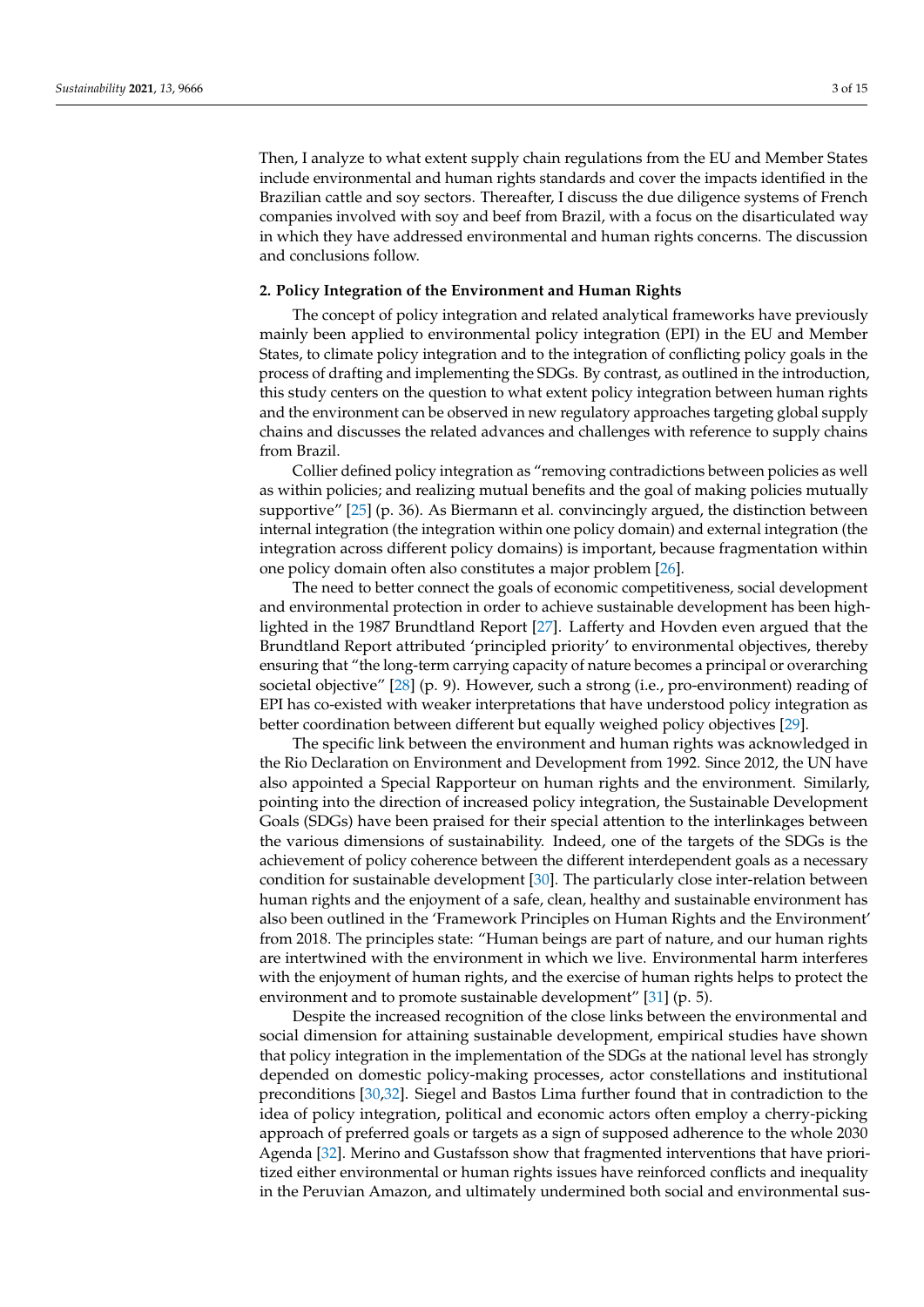Then, I analyze to what extent supply chain regulations from the EU and Member States include environmental and human rights standards and cover the impacts identified in the Brazilian cattle and soy sectors. Thereafter, I discuss the due diligence systems of French companies involved with soy and beef from Brazil, with a focus on the disarticulated way in which they have addressed environmental and human rights concerns. The discussion and conclusions follow.

#### <span id="page-2-0"></span>**2. Policy Integration of the Environment and Human Rights**

The concept of policy integration and related analytical frameworks have previously mainly been applied to environmental policy integration (EPI) in the EU and Member States, to climate policy integration and to the integration of conflicting policy goals in the process of drafting and implementing the SDGs. By contrast, as outlined in the introduction, this study centers on the question to what extent policy integration between human rights and the environment can be observed in new regulatory approaches targeting global supply chains and discusses the related advances and challenges with reference to supply chains from Brazil.

Collier defined policy integration as "removing contradictions between policies as well as within policies; and realizing mutual benefits and the goal of making policies mutually supportive" [\[25\]](#page-13-10) (p. 36). As Biermann et al. convincingly argued, the distinction between internal integration (the integration within one policy domain) and external integration (the integration across different policy domains) is important, because fragmentation within one policy domain often also constitutes a major problem [\[26\]](#page-13-11).

The need to better connect the goals of economic competitiveness, social development and environmental protection in order to achieve sustainable development has been highlighted in the 1987 Brundtland Report [\[27\]](#page-13-12). Lafferty and Hovden even argued that the Brundtland Report attributed 'principled priority' to environmental objectives, thereby ensuring that "the long-term carrying capacity of nature becomes a principal or overarching societal objective" [\[28\]](#page-13-13) (p. 9). However, such a strong (i.e., pro-environment) reading of EPI has co-existed with weaker interpretations that have understood policy integration as better coordination between different but equally weighed policy objectives [\[29\]](#page-13-14).

The specific link between the environment and human rights was acknowledged in the Rio Declaration on Environment and Development from 1992. Since 2012, the UN have also appointed a Special Rapporteur on human rights and the environment. Similarly, pointing into the direction of increased policy integration, the Sustainable Development Goals (SDGs) have been praised for their special attention to the interlinkages between the various dimensions of sustainability. Indeed, one of the targets of the SDGs is the achievement of policy coherence between the different interdependent goals as a necessary condition for sustainable development [\[30\]](#page-13-15). The particularly close inter-relation between human rights and the enjoyment of a safe, clean, healthy and sustainable environment has also been outlined in the 'Framework Principles on Human Rights and the Environment' from 2018. The principles state: "Human beings are part of nature, and our human rights are intertwined with the environment in which we live. Environmental harm interferes with the enjoyment of human rights, and the exercise of human rights helps to protect the environment and to promote sustainable development" [\[31\]](#page-13-16) (p. 5).

Despite the increased recognition of the close links between the environmental and social dimension for attaining sustainable development, empirical studies have shown that policy integration in the implementation of the SDGs at the national level has strongly depended on domestic policy-making processes, actor constellations and institutional preconditions [\[30,](#page-13-15)[32\]](#page-13-17). Siegel and Bastos Lima further found that in contradiction to the idea of policy integration, political and economic actors often employ a cherry-picking approach of preferred goals or targets as a sign of supposed adherence to the whole 2030 Agenda [\[32\]](#page-13-17). Merino and Gustafsson show that fragmented interventions that have prioritized either environmental or human rights issues have reinforced conflicts and inequality in the Peruvian Amazon, and ultimately undermined both social and environmental sus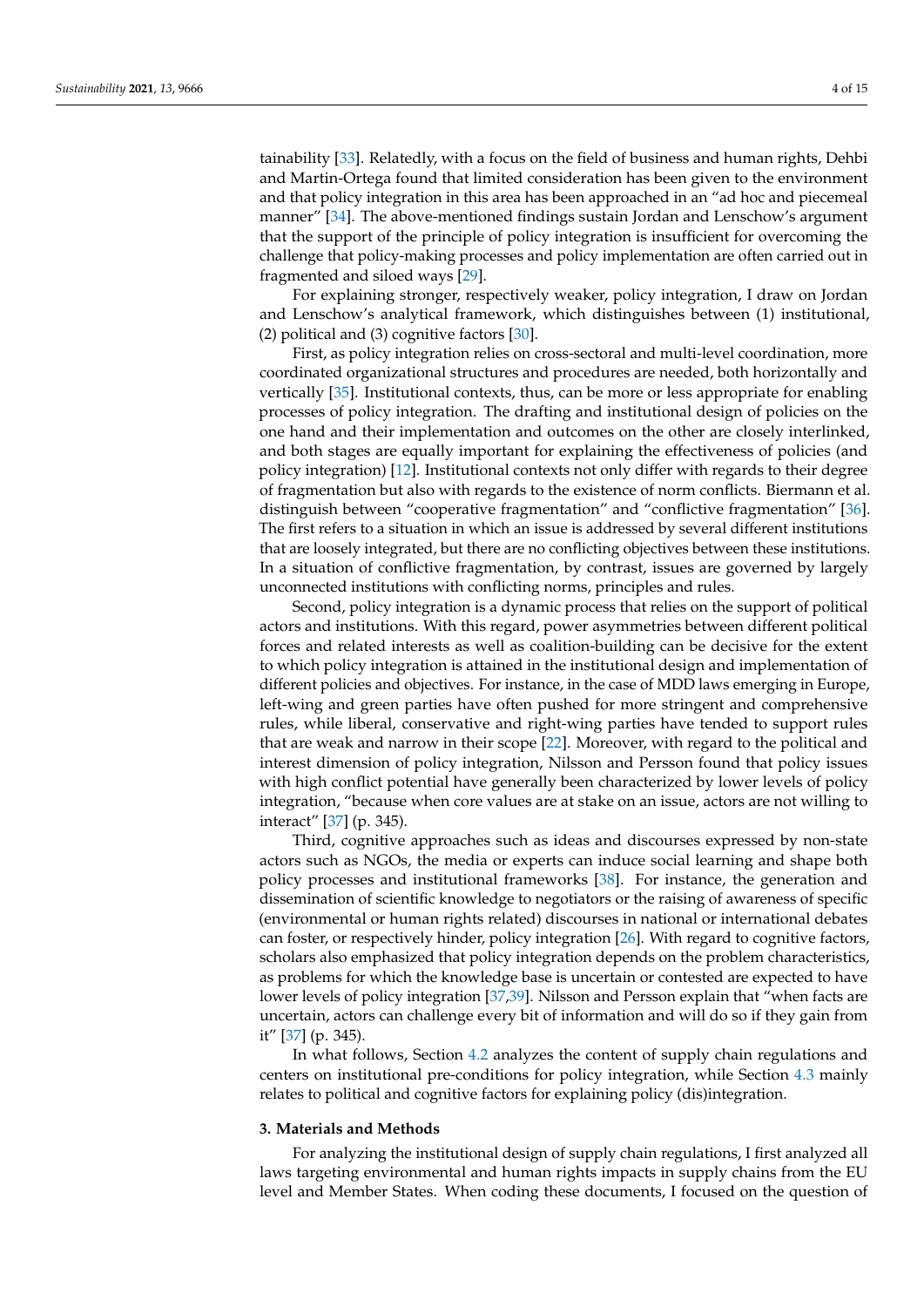tainability [\[33\]](#page-13-18). Relatedly, with a focus on the field of business and human rights, Dehbi and Martin-Ortega found that limited consideration has been given to the environment and that policy integration in this area has been approached in an "ad hoc and piecemeal manner" [\[34\]](#page-13-19). The above-mentioned findings sustain Jordan and Lenschow's argument that the support of the principle of policy integration is insufficient for overcoming the challenge that policy-making processes and policy implementation are often carried out in fragmented and siloed ways [\[29\]](#page-13-14).

For explaining stronger, respectively weaker, policy integration, I draw on Jordan and Lenschow's analytical framework, which distinguishes between (1) institutional, (2) political and (3) cognitive factors [\[30\]](#page-13-15).

First, as policy integration relies on cross-sectoral and multi-level coordination, more coordinated organizational structures and procedures are needed, both horizontally and vertically [\[35\]](#page-13-20). Institutional contexts, thus, can be more or less appropriate for enabling processes of policy integration. The drafting and institutional design of policies on the one hand and their implementation and outcomes on the other are closely interlinked, and both stages are equally important for explaining the effectiveness of policies (and policy integration) [\[12\]](#page-12-7). Institutional contexts not only differ with regards to their degree of fragmentation but also with regards to the existence of norm conflicts. Biermann et al. distinguish between "cooperative fragmentation" and "conflictive fragmentation" [\[36\]](#page-13-21). The first refers to a situation in which an issue is addressed by several different institutions that are loosely integrated, but there are no conflicting objectives between these institutions. In a situation of conflictive fragmentation, by contrast, issues are governed by largely unconnected institutions with conflicting norms, principles and rules.

Second, policy integration is a dynamic process that relies on the support of political actors and institutions. With this regard, power asymmetries between different political forces and related interests as well as coalition-building can be decisive for the extent to which policy integration is attained in the institutional design and implementation of different policies and objectives. For instance, in the case of MDD laws emerging in Europe, left-wing and green parties have often pushed for more stringent and comprehensive rules, while liberal, conservative and right-wing parties have tended to support rules that are weak and narrow in their scope [\[22\]](#page-13-7). Moreover, with regard to the political and interest dimension of policy integration, Nilsson and Persson found that policy issues with high conflict potential have generally been characterized by lower levels of policy integration, "because when core values are at stake on an issue, actors are not willing to interact" [\[37\]](#page-13-22) (p. 345).

Third, cognitive approaches such as ideas and discourses expressed by non-state actors such as NGOs, the media or experts can induce social learning and shape both policy processes and institutional frameworks [\[38\]](#page-13-23). For instance, the generation and dissemination of scientific knowledge to negotiators or the raising of awareness of specific (environmental or human rights related) discourses in national or international debates can foster, or respectively hinder, policy integration [\[26\]](#page-13-11). With regard to cognitive factors, scholars also emphasized that policy integration depends on the problem characteristics, as problems for which the knowledge base is uncertain or contested are expected to have lower levels of policy integration [\[37,](#page-13-22)[39\]](#page-13-24). Nilsson and Persson explain that "when facts are uncertain, actors can challenge every bit of information and will do so if they gain from it" [\[37\]](#page-13-22) (p. 345).

In what follows, Section [4.2](#page-6-0) analyzes the content of supply chain regulations and centers on institutional pre-conditions for policy integration, while Section [4.3](#page-8-0) mainly relates to political and cognitive factors for explaining policy (dis)integration.

#### <span id="page-3-0"></span>**3. Materials and Methods**

For analyzing the institutional design of supply chain regulations, I first analyzed all laws targeting environmental and human rights impacts in supply chains from the EU level and Member States. When coding these documents, I focused on the question of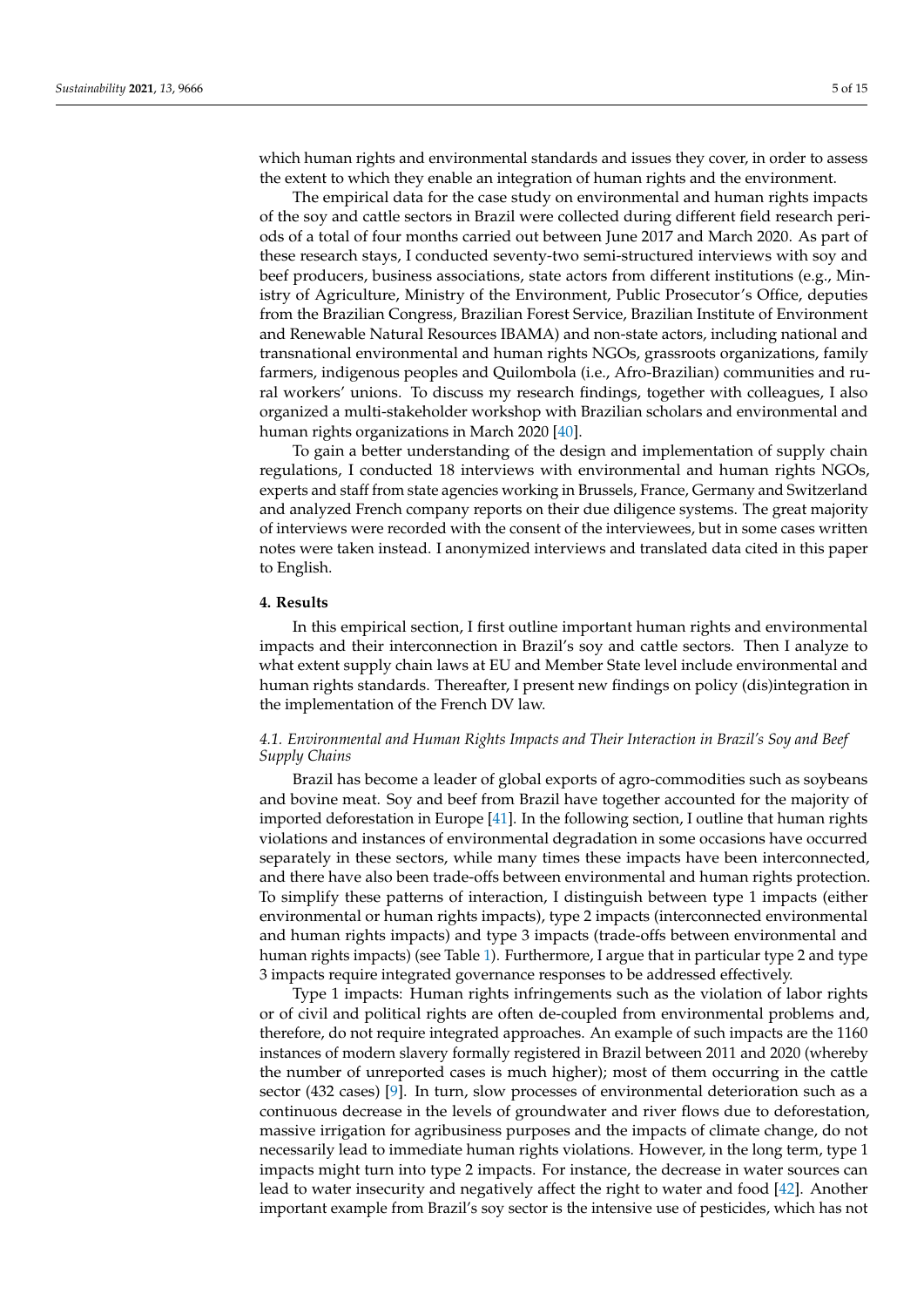which human rights and environmental standards and issues they cover, in order to assess the extent to which they enable an integration of human rights and the environment.

The empirical data for the case study on environmental and human rights impacts of the soy and cattle sectors in Brazil were collected during different field research periods of a total of four months carried out between June 2017 and March 2020. As part of these research stays, I conducted seventy-two semi-structured interviews with soy and beef producers, business associations, state actors from different institutions (e.g., Ministry of Agriculture, Ministry of the Environment, Public Prosecutor's Office, deputies from the Brazilian Congress, Brazilian Forest Service, Brazilian Institute of Environment and Renewable Natural Resources IBAMA) and non-state actors, including national and transnational environmental and human rights NGOs, grassroots organizations, family farmers, indigenous peoples and Quilombola (i.e., Afro-Brazilian) communities and rural workers' unions. To discuss my research findings, together with colleagues, I also organized a multi-stakeholder workshop with Brazilian scholars and environmental and human rights organizations in March 2020 [\[40\]](#page-13-25).

To gain a better understanding of the design and implementation of supply chain regulations, I conducted 18 interviews with environmental and human rights NGOs, experts and staff from state agencies working in Brussels, France, Germany and Switzerland and analyzed French company reports on their due diligence systems. The great majority of interviews were recorded with the consent of the interviewees, but in some cases written notes were taken instead. I anonymized interviews and translated data cited in this paper to English.

# <span id="page-4-0"></span>**4. Results**

In this empirical section, I first outline important human rights and environmental impacts and their interconnection in Brazil's soy and cattle sectors. Then I analyze to what extent supply chain laws at EU and Member State level include environmental and human rights standards. Thereafter, I present new findings on policy (dis)integration in the implementation of the French DV law.

# <span id="page-4-1"></span>*4.1. Environmental and Human Rights Impacts and Their Interaction in Brazil's Soy and Beef Supply Chains*

Brazil has become a leader of global exports of agro-commodities such as soybeans and bovine meat. Soy and beef from Brazil have together accounted for the majority of imported deforestation in Europe [\[41\]](#page-13-26). In the following section, I outline that human rights violations and instances of environmental degradation in some occasions have occurred separately in these sectors, while many times these impacts have been interconnected, and there have also been trade-offs between environmental and human rights protection. To simplify these patterns of interaction, I distinguish between type 1 impacts (either environmental or human rights impacts), type 2 impacts (interconnected environmental and human rights impacts) and type 3 impacts (trade-offs between environmental and human rights impacts) (see Table [1\)](#page-5-0). Furthermore, I argue that in particular type 2 and type 3 impacts require integrated governance responses to be addressed effectively.

Type 1 impacts: Human rights infringements such as the violation of labor rights or of civil and political rights are often de-coupled from environmental problems and, therefore, do not require integrated approaches. An example of such impacts are the 1160 instances of modern slavery formally registered in Brazil between 2011 and 2020 (whereby the number of unreported cases is much higher); most of them occurring in the cattle sector (432 cases) [\[9\]](#page-12-8). In turn, slow processes of environmental deterioration such as a continuous decrease in the levels of groundwater and river flows due to deforestation, massive irrigation for agribusiness purposes and the impacts of climate change, do not necessarily lead to immediate human rights violations. However, in the long term, type 1 impacts might turn into type 2 impacts. For instance, the decrease in water sources can lead to water insecurity and negatively affect the right to water and food [\[42\]](#page-14-0). Another important example from Brazil's soy sector is the intensive use of pesticides, which has not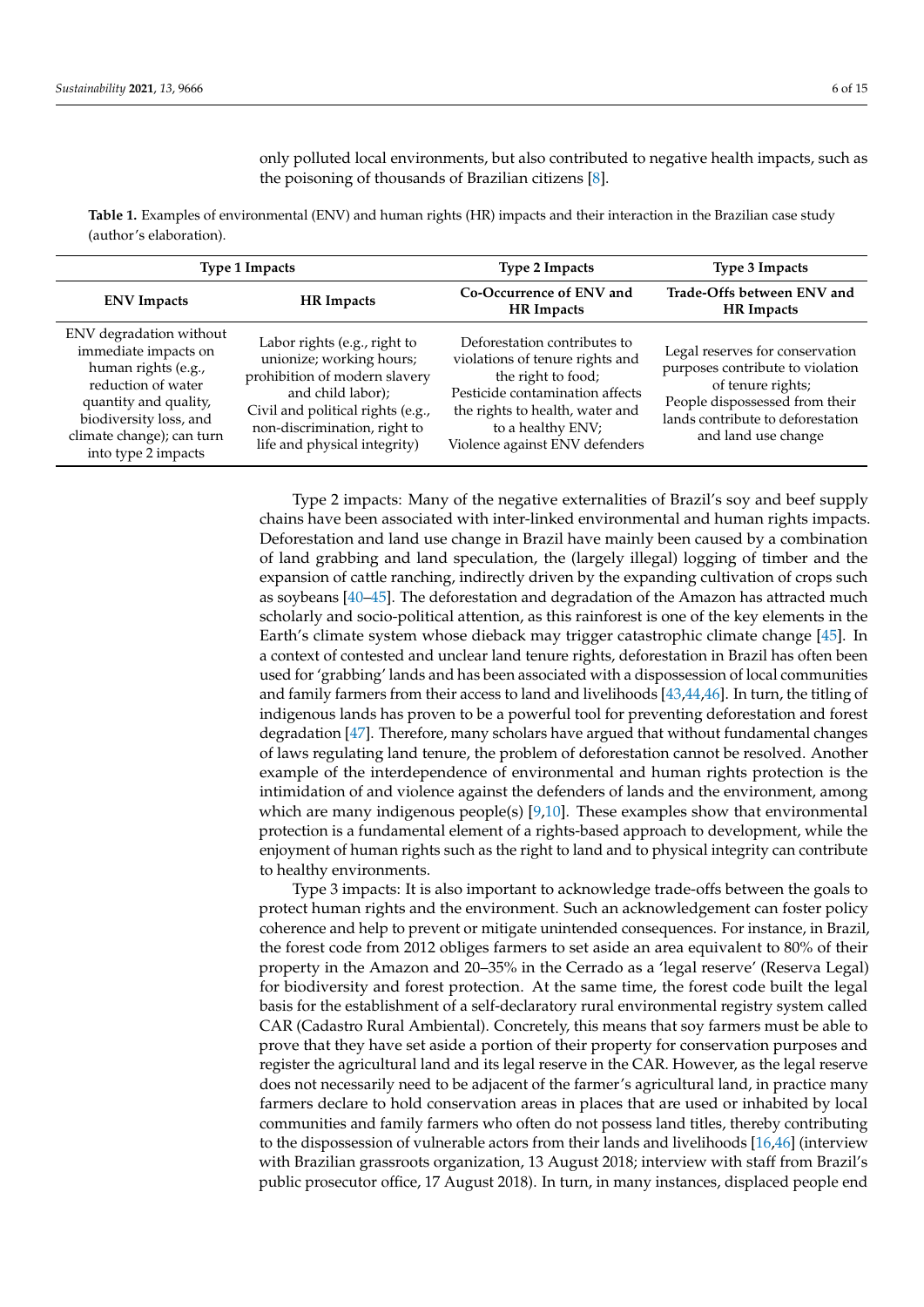only polluted local environments, but also contributed to negative health impacts, such as the poisoning of thousands of Brazilian citizens [\[8\]](#page-12-9).

<span id="page-5-0"></span>**Table 1.** Examples of environmental (ENV) and human rights (HR) impacts and their interaction in the Brazilian case study (author's elaboration).

| Type 1 Impacts                                                                                                                                                                                      |                                                                                                                                                                                                                     | <b>Type 2 Impacts</b>                                                                                                                                                                                              | Type 3 Impacts                                                                                                                                                                         |
|-----------------------------------------------------------------------------------------------------------------------------------------------------------------------------------------------------|---------------------------------------------------------------------------------------------------------------------------------------------------------------------------------------------------------------------|--------------------------------------------------------------------------------------------------------------------------------------------------------------------------------------------------------------------|----------------------------------------------------------------------------------------------------------------------------------------------------------------------------------------|
| <b>ENV</b> Impacts                                                                                                                                                                                  | <b>HR</b> Impacts                                                                                                                                                                                                   | Co-Occurrence of ENV and<br>HR Impacts                                                                                                                                                                             | Trade-Offs between ENV and<br><b>HR</b> Impacts                                                                                                                                        |
| ENV degradation without<br>immediate impacts on<br>human rights (e.g.,<br>reduction of water<br>quantity and quality,<br>biodiversity loss, and<br>climate change); can turn<br>into type 2 impacts | Labor rights (e.g., right to<br>unionize; working hours;<br>prohibition of modern slavery<br>and child labor);<br>Civil and political rights (e.g.,<br>non-discrimination, right to<br>life and physical integrity) | Deforestation contributes to<br>violations of tenure rights and<br>the right to food;<br>Pesticide contamination affects<br>the rights to health, water and<br>to a healthy ENV;<br>Violence against ENV defenders | Legal reserves for conservation<br>purposes contribute to violation<br>of tenure rights;<br>People dispossessed from their<br>lands contribute to deforestation<br>and land use change |

Type 2 impacts: Many of the negative externalities of Brazil's soy and beef supply chains have been associated with inter-linked environmental and human rights impacts. Deforestation and land use change in Brazil have mainly been caused by a combination of land grabbing and land speculation, the (largely illegal) logging of timber and the expansion of cattle ranching, indirectly driven by the expanding cultivation of crops such as soybeans [\[40](#page-13-25)[–45\]](#page-14-1). The deforestation and degradation of the Amazon has attracted much scholarly and socio-political attention, as this rainforest is one of the key elements in the Earth's climate system whose dieback may trigger catastrophic climate change [\[45\]](#page-14-1). In a context of contested and unclear land tenure rights, deforestation in Brazil has often been used for 'grabbing' lands and has been associated with a dispossession of local communities and family farmers from their access to land and livelihoods [\[43,](#page-14-2)[44,](#page-14-3)[46\]](#page-14-4). In turn, the titling of indigenous lands has proven to be a powerful tool for preventing deforestation and forest degradation [\[47\]](#page-14-5). Therefore, many scholars have argued that without fundamental changes of laws regulating land tenure, the problem of deforestation cannot be resolved. Another example of the interdependence of environmental and human rights protection is the intimidation of and violence against the defenders of lands and the environment, among which are many indigenous people(s) [\[9](#page-12-8)[,10\]](#page-12-10). These examples show that environmental protection is a fundamental element of a rights-based approach to development, while the enjoyment of human rights such as the right to land and to physical integrity can contribute to healthy environments.

Type 3 impacts: It is also important to acknowledge trade-offs between the goals to protect human rights and the environment. Such an acknowledgement can foster policy coherence and help to prevent or mitigate unintended consequences. For instance, in Brazil, the forest code from 2012 obliges farmers to set aside an area equivalent to 80% of their property in the Amazon and 20–35% in the Cerrado as a 'legal reserve' (Reserva Legal) for biodiversity and forest protection. At the same time, the forest code built the legal basis for the establishment of a self-declaratory rural environmental registry system called CAR (Cadastro Rural Ambiental). Concretely, this means that soy farmers must be able to prove that they have set aside a portion of their property for conservation purposes and register the agricultural land and its legal reserve in the CAR. However, as the legal reserve does not necessarily need to be adjacent of the farmer's agricultural land, in practice many farmers declare to hold conservation areas in places that are used or inhabited by local communities and family farmers who often do not possess land titles, thereby contributing to the dispossession of vulnerable actors from their lands and livelihoods [\[16](#page-13-2)[,46\]](#page-14-4) (interview with Brazilian grassroots organization, 13 August 2018; interview with staff from Brazil's public prosecutor office, 17 August 2018). In turn, in many instances, displaced people end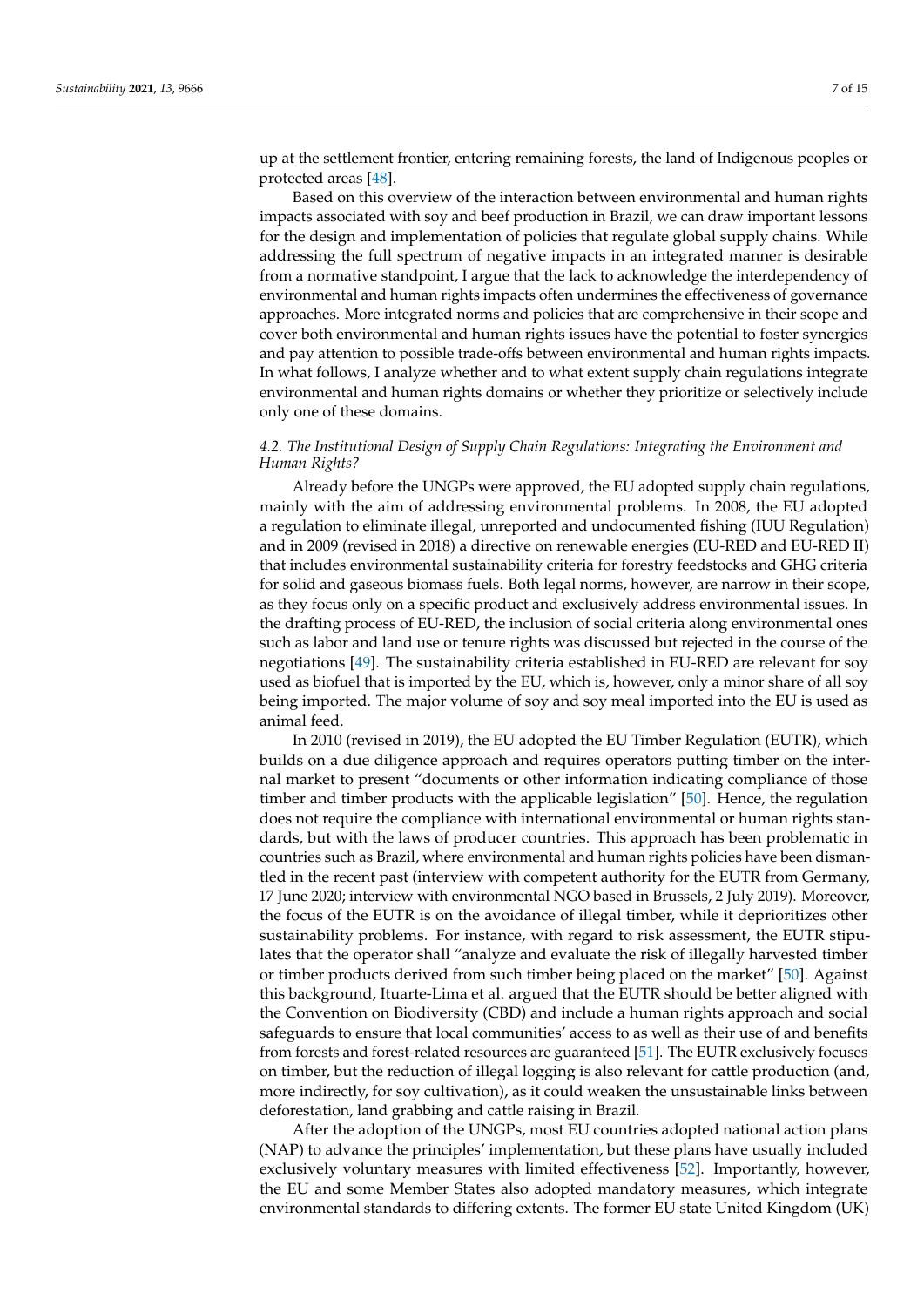up at the settlement frontier, entering remaining forests, the land of Indigenous peoples or protected areas [\[48\]](#page-14-6).

Based on this overview of the interaction between environmental and human rights impacts associated with soy and beef production in Brazil, we can draw important lessons for the design and implementation of policies that regulate global supply chains. While addressing the full spectrum of negative impacts in an integrated manner is desirable from a normative standpoint, I argue that the lack to acknowledge the interdependency of environmental and human rights impacts often undermines the effectiveness of governance approaches. More integrated norms and policies that are comprehensive in their scope and cover both environmental and human rights issues have the potential to foster synergies and pay attention to possible trade-offs between environmental and human rights impacts. In what follows, I analyze whether and to what extent supply chain regulations integrate environmental and human rights domains or whether they prioritize or selectively include only one of these domains.

# <span id="page-6-0"></span>*4.2. The Institutional Design of Supply Chain Regulations: Integrating the Environment and Human Rights?*

Already before the UNGPs were approved, the EU adopted supply chain regulations, mainly with the aim of addressing environmental problems. In 2008, the EU adopted a regulation to eliminate illegal, unreported and undocumented fishing (IUU Regulation) and in 2009 (revised in 2018) a directive on renewable energies (EU-RED and EU-RED II) that includes environmental sustainability criteria for forestry feedstocks and GHG criteria for solid and gaseous biomass fuels. Both legal norms, however, are narrow in their scope, as they focus only on a specific product and exclusively address environmental issues. In the drafting process of EU-RED, the inclusion of social criteria along environmental ones such as labor and land use or tenure rights was discussed but rejected in the course of the negotiations [\[49\]](#page-14-7). The sustainability criteria established in EU-RED are relevant for soy used as biofuel that is imported by the EU, which is, however, only a minor share of all soy being imported. The major volume of soy and soy meal imported into the EU is used as animal feed.

In 2010 (revised in 2019), the EU adopted the EU Timber Regulation (EUTR), which builds on a due diligence approach and requires operators putting timber on the internal market to present "documents or other information indicating compliance of those timber and timber products with the applicable legislation" [\[50\]](#page-14-8). Hence, the regulation does not require the compliance with international environmental or human rights standards, but with the laws of producer countries. This approach has been problematic in countries such as Brazil, where environmental and human rights policies have been dismantled in the recent past (interview with competent authority for the EUTR from Germany, 17 June 2020; interview with environmental NGO based in Brussels, 2 July 2019). Moreover, the focus of the EUTR is on the avoidance of illegal timber, while it deprioritizes other sustainability problems. For instance, with regard to risk assessment, the EUTR stipulates that the operator shall "analyze and evaluate the risk of illegally harvested timber or timber products derived from such timber being placed on the market" [\[50\]](#page-14-8). Against this background, Ituarte-Lima et al. argued that the EUTR should be better aligned with the Convention on Biodiversity (CBD) and include a human rights approach and social safeguards to ensure that local communities' access to as well as their use of and benefits from forests and forest-related resources are guaranteed [\[51\]](#page-14-9). The EUTR exclusively focuses on timber, but the reduction of illegal logging is also relevant for cattle production (and, more indirectly, for soy cultivation), as it could weaken the unsustainable links between deforestation, land grabbing and cattle raising in Brazil.

After the adoption of the UNGPs, most EU countries adopted national action plans (NAP) to advance the principles' implementation, but these plans have usually included exclusively voluntary measures with limited effectiveness [\[52\]](#page-14-10). Importantly, however, the EU and some Member States also adopted mandatory measures, which integrate environmental standards to differing extents. The former EU state United Kingdom (UK)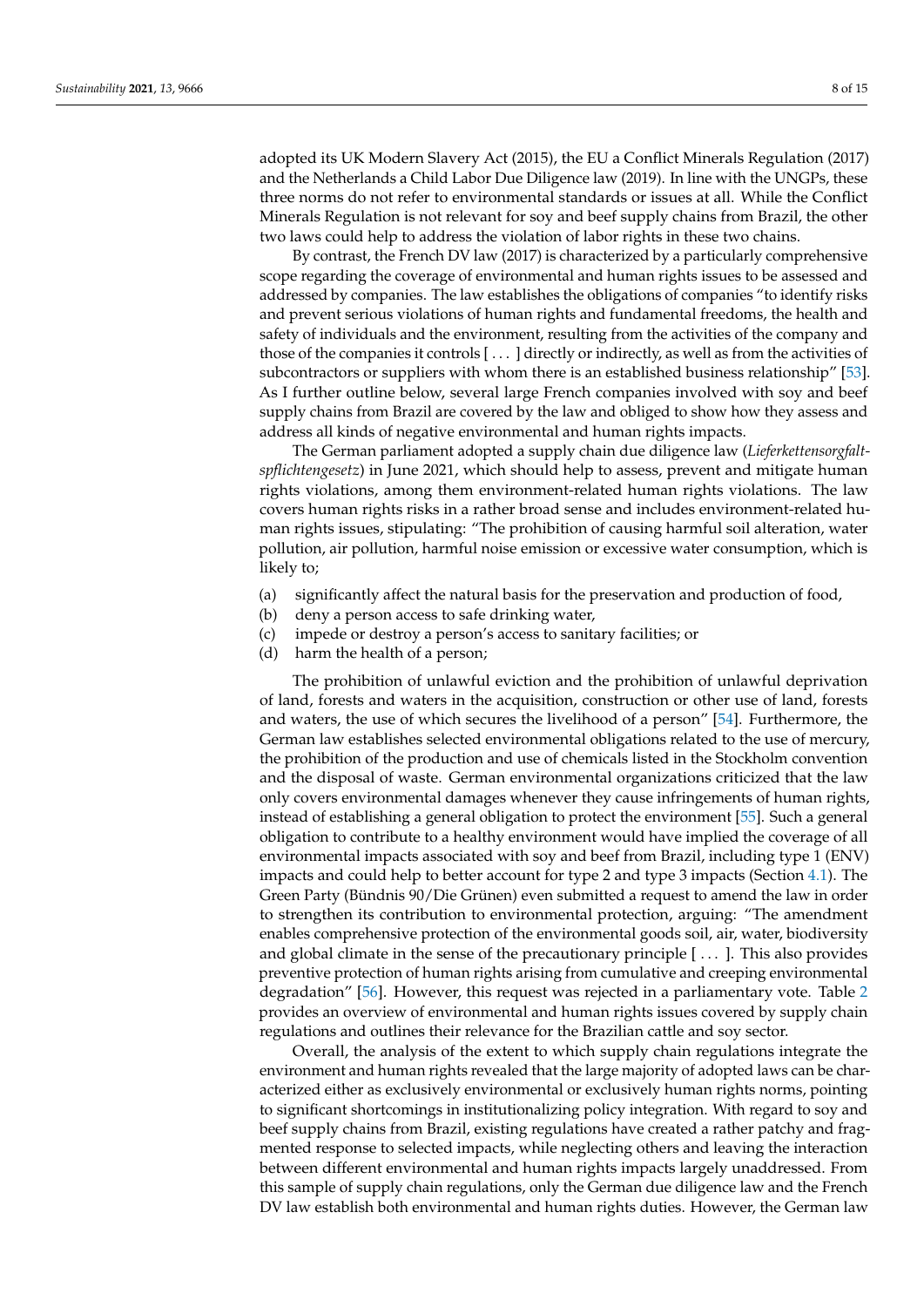adopted its UK Modern Slavery Act (2015), the EU a Conflict Minerals Regulation (2017) and the Netherlands a Child Labor Due Diligence law (2019). In line with the UNGPs, these three norms do not refer to environmental standards or issues at all. While the Conflict Minerals Regulation is not relevant for soy and beef supply chains from Brazil, the other two laws could help to address the violation of labor rights in these two chains.

By contrast, the French DV law (2017) is characterized by a particularly comprehensive scope regarding the coverage of environmental and human rights issues to be assessed and addressed by companies. The law establishes the obligations of companies "to identify risks and prevent serious violations of human rights and fundamental freedoms, the health and safety of individuals and the environment, resulting from the activities of the company and those of the companies it controls [ . . . ] directly or indirectly, as well as from the activities of subcontractors or suppliers with whom there is an established business relationship" [\[53\]](#page-14-11). As I further outline below, several large French companies involved with soy and beef supply chains from Brazil are covered by the law and obliged to show how they assess and address all kinds of negative environmental and human rights impacts.

The German parliament adopted a supply chain due diligence law (*Lieferkettensorgfaltspflichtengesetz*) in June 2021, which should help to assess, prevent and mitigate human rights violations, among them environment-related human rights violations. The law covers human rights risks in a rather broad sense and includes environment-related human rights issues, stipulating: "The prohibition of causing harmful soil alteration, water pollution, air pollution, harmful noise emission or excessive water consumption, which is likely to;

- (a) significantly affect the natural basis for the preservation and production of food,
- (b) deny a person access to safe drinking water,
- (c) impede or destroy a person's access to sanitary facilities; or
- (d) harm the health of a person;

The prohibition of unlawful eviction and the prohibition of unlawful deprivation of land, forests and waters in the acquisition, construction or other use of land, forests and waters, the use of which secures the livelihood of a person" [\[54\]](#page-14-12). Furthermore, the German law establishes selected environmental obligations related to the use of mercury, the prohibition of the production and use of chemicals listed in the Stockholm convention and the disposal of waste. German environmental organizations criticized that the law only covers environmental damages whenever they cause infringements of human rights, instead of establishing a general obligation to protect the environment [\[55\]](#page-14-13). Such a general obligation to contribute to a healthy environment would have implied the coverage of all environmental impacts associated with soy and beef from Brazil, including type 1 (ENV) impacts and could help to better account for type 2 and type 3 impacts (Section [4.1\)](#page-4-1). The Green Party (Bündnis 90/Die Grünen) even submitted a request to amend the law in order to strengthen its contribution to environmental protection, arguing: "The amendment enables comprehensive protection of the environmental goods soil, air, water, biodiversity and global climate in the sense of the precautionary principle [ . . . ]. This also provides preventive protection of human rights arising from cumulative and creeping environmental degradation" [\[56\]](#page-14-14). However, this request was rejected in a parliamentary vote. Table [2](#page-8-1) provides an overview of environmental and human rights issues covered by supply chain regulations and outlines their relevance for the Brazilian cattle and soy sector.

Overall, the analysis of the extent to which supply chain regulations integrate the environment and human rights revealed that the large majority of adopted laws can be characterized either as exclusively environmental or exclusively human rights norms, pointing to significant shortcomings in institutionalizing policy integration. With regard to soy and beef supply chains from Brazil, existing regulations have created a rather patchy and fragmented response to selected impacts, while neglecting others and leaving the interaction between different environmental and human rights impacts largely unaddressed. From this sample of supply chain regulations, only the German due diligence law and the French DV law establish both environmental and human rights duties. However, the German law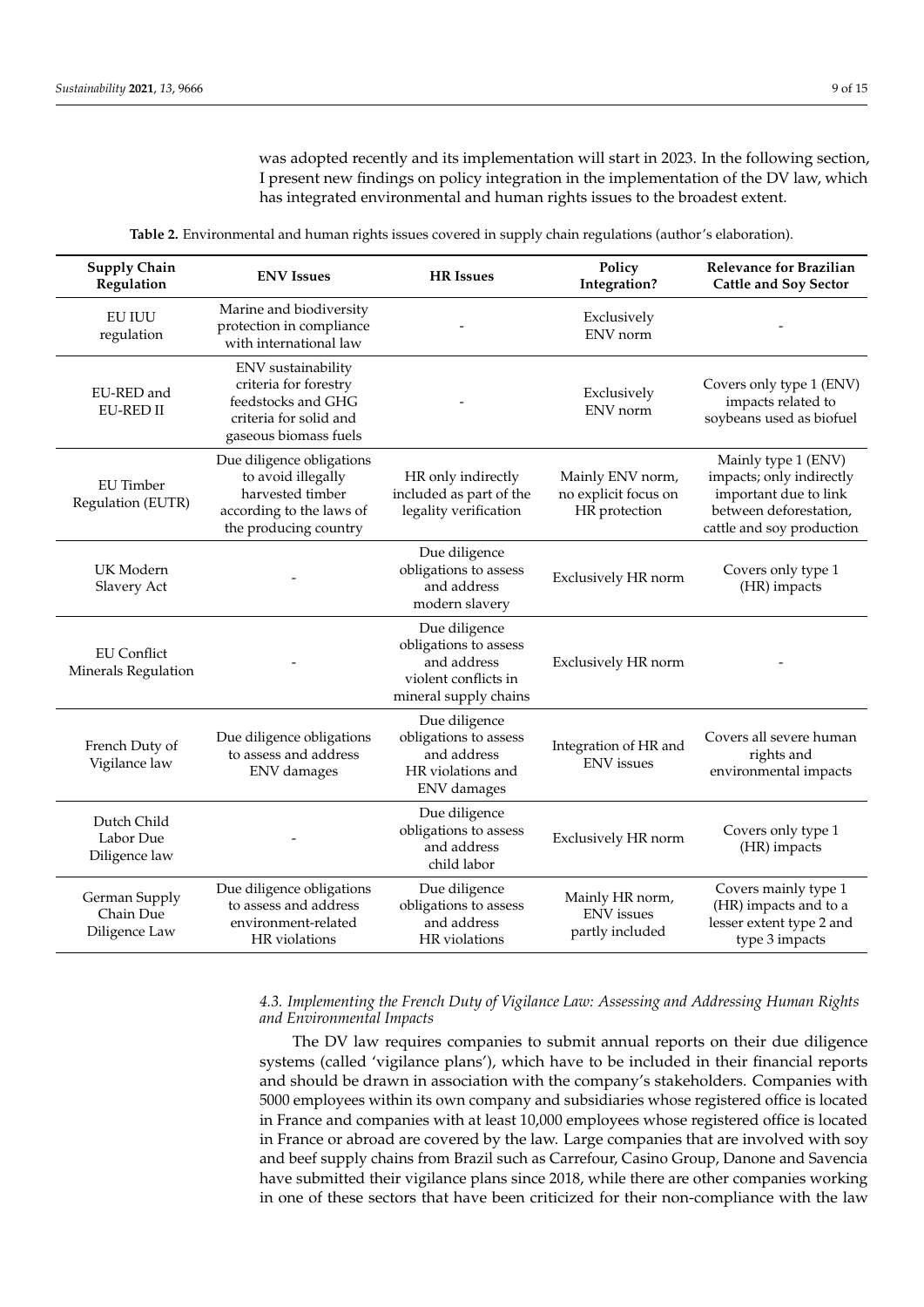was adopted recently and its implementation will start in 2023. In the following section, I present new findings on policy integration in the implementation of the DV law, which has integrated environmental and human rights issues to the broadest extent.

| Table 2. Environmental and human rights issues covered in supply chain regulations (author's elaboration). |  |  |
|------------------------------------------------------------------------------------------------------------|--|--|
|                                                                                                            |  |  |

<span id="page-8-1"></span>

| <b>Supply Chain</b><br>Regulation           | <b>ENV</b> Issues                                                                                                        | <b>HR</b> Issues                                                                                       | Policy<br>Integration?                                    | <b>Relevance for Brazilian</b><br><b>Cattle and Soy Sector</b>                                                                  |
|---------------------------------------------|--------------------------------------------------------------------------------------------------------------------------|--------------------------------------------------------------------------------------------------------|-----------------------------------------------------------|---------------------------------------------------------------------------------------------------------------------------------|
| <b>EU IUU</b><br>regulation                 | Marine and biodiversity<br>protection in compliance<br>with international law                                            |                                                                                                        | Exclusively<br>ENV norm                                   |                                                                                                                                 |
| EU-RED and<br>EU-RED II                     | ENV sustainability<br>criteria for forestry<br>feedstocks and GHG<br>criteria for solid and<br>gaseous biomass fuels     |                                                                                                        | Exclusively<br>ENV norm                                   | Covers only type 1 (ENV)<br>impacts related to<br>soybeans used as biofuel                                                      |
| <b>EU</b> Timber<br>Regulation (EUTR)       | Due diligence obligations<br>to avoid illegally<br>harvested timber<br>according to the laws of<br>the producing country | HR only indirectly<br>included as part of the<br>legality verification                                 | Mainly ENV norm,<br>no explicit focus on<br>HR protection | Mainly type 1 (ENV)<br>impacts; only indirectly<br>important due to link<br>between deforestation,<br>cattle and soy production |
| UK Modern<br>Slavery Act                    |                                                                                                                          | Due diligence<br>obligations to assess<br>and address<br>modern slavery                                | Exclusively HR norm                                       | Covers only type 1<br>(HR) impacts                                                                                              |
| <b>EU</b> Conflict<br>Minerals Regulation   |                                                                                                                          | Due diligence<br>obligations to assess<br>and address<br>violent conflicts in<br>mineral supply chains | Exclusively HR norm                                       |                                                                                                                                 |
| French Duty of<br>Vigilance law             | Due diligence obligations<br>to assess and address<br>ENV damages                                                        | Due diligence<br>obligations to assess<br>and address<br>HR violations and<br>ENV damages              | Integration of HR and<br><b>ENV</b> issues                | Covers all severe human<br>rights and<br>environmental impacts                                                                  |
| Dutch Child<br>Labor Due<br>Diligence law   |                                                                                                                          | Due diligence<br>obligations to assess<br>and address<br>child labor                                   | Exclusively HR norm                                       | Covers only type 1<br>(HR) impacts                                                                                              |
| German Supply<br>Chain Due<br>Diligence Law | Due diligence obligations<br>to assess and address<br>environment-related<br>HR violations                               | Due diligence<br>obligations to assess<br>and address<br>HR violations                                 | Mainly HR norm,<br><b>ENV</b> issues<br>partly included   | Covers mainly type 1<br>(HR) impacts and to a<br>lesser extent type 2 and<br>type 3 impacts                                     |

### <span id="page-8-0"></span>*4.3. Implementing the French Duty of Vigilance Law: Assessing and Addressing Human Rights and Environmental Impacts*

The DV law requires companies to submit annual reports on their due diligence systems (called 'vigilance plans'), which have to be included in their financial reports and should be drawn in association with the company's stakeholders. Companies with 5000 employees within its own company and subsidiaries whose registered office is located in France and companies with at least 10,000 employees whose registered office is located in France or abroad are covered by the law. Large companies that are involved with soy and beef supply chains from Brazil such as Carrefour, Casino Group, Danone and Savencia have submitted their vigilance plans since 2018, while there are other companies working in one of these sectors that have been criticized for their non-compliance with the law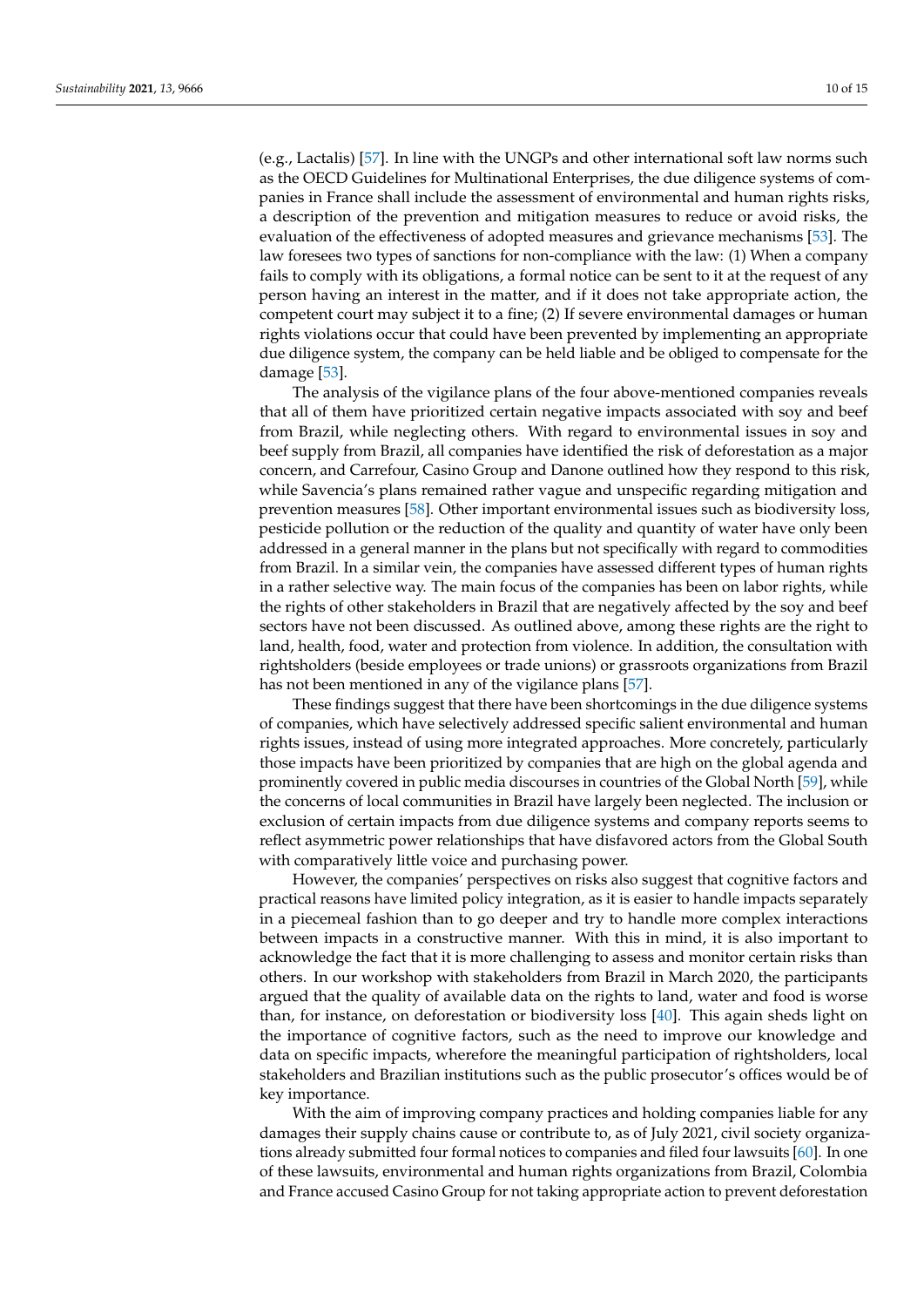(e.g., Lactalis) [\[57\]](#page-14-15). In line with the UNGPs and other international soft law norms such as the OECD Guidelines for Multinational Enterprises, the due diligence systems of companies in France shall include the assessment of environmental and human rights risks, a description of the prevention and mitigation measures to reduce or avoid risks, the evaluation of the effectiveness of adopted measures and grievance mechanisms [\[53\]](#page-14-11). The law foresees two types of sanctions for non-compliance with the law: (1) When a company fails to comply with its obligations, a formal notice can be sent to it at the request of any person having an interest in the matter, and if it does not take appropriate action, the competent court may subject it to a fine; (2) If severe environmental damages or human rights violations occur that could have been prevented by implementing an appropriate due diligence system, the company can be held liable and be obliged to compensate for the damage [\[53\]](#page-14-11).

The analysis of the vigilance plans of the four above-mentioned companies reveals that all of them have prioritized certain negative impacts associated with soy and beef from Brazil, while neglecting others. With regard to environmental issues in soy and beef supply from Brazil, all companies have identified the risk of deforestation as a major concern, and Carrefour, Casino Group and Danone outlined how they respond to this risk, while Savencia's plans remained rather vague and unspecific regarding mitigation and prevention measures [\[58\]](#page-14-16). Other important environmental issues such as biodiversity loss, pesticide pollution or the reduction of the quality and quantity of water have only been addressed in a general manner in the plans but not specifically with regard to commodities from Brazil. In a similar vein, the companies have assessed different types of human rights in a rather selective way. The main focus of the companies has been on labor rights, while the rights of other stakeholders in Brazil that are negatively affected by the soy and beef sectors have not been discussed. As outlined above, among these rights are the right to land, health, food, water and protection from violence. In addition, the consultation with rightsholders (beside employees or trade unions) or grassroots organizations from Brazil has not been mentioned in any of the vigilance plans [\[57\]](#page-14-15).

These findings suggest that there have been shortcomings in the due diligence systems of companies, which have selectively addressed specific salient environmental and human rights issues, instead of using more integrated approaches. More concretely, particularly those impacts have been prioritized by companies that are high on the global agenda and prominently covered in public media discourses in countries of the Global North [\[59\]](#page-14-17), while the concerns of local communities in Brazil have largely been neglected. The inclusion or exclusion of certain impacts from due diligence systems and company reports seems to reflect asymmetric power relationships that have disfavored actors from the Global South with comparatively little voice and purchasing power.

However, the companies' perspectives on risks also suggest that cognitive factors and practical reasons have limited policy integration, as it is easier to handle impacts separately in a piecemeal fashion than to go deeper and try to handle more complex interactions between impacts in a constructive manner. With this in mind, it is also important to acknowledge the fact that it is more challenging to assess and monitor certain risks than others. In our workshop with stakeholders from Brazil in March 2020, the participants argued that the quality of available data on the rights to land, water and food is worse than, for instance, on deforestation or biodiversity loss [\[40\]](#page-13-25). This again sheds light on the importance of cognitive factors, such as the need to improve our knowledge and data on specific impacts, wherefore the meaningful participation of rightsholders, local stakeholders and Brazilian institutions such as the public prosecutor's offices would be of key importance.

With the aim of improving company practices and holding companies liable for any damages their supply chains cause or contribute to, as of July 2021, civil society organizations already submitted four formal notices to companies and filed four lawsuits [\[60\]](#page-14-18). In one of these lawsuits, environmental and human rights organizations from Brazil, Colombia and France accused Casino Group for not taking appropriate action to prevent deforestation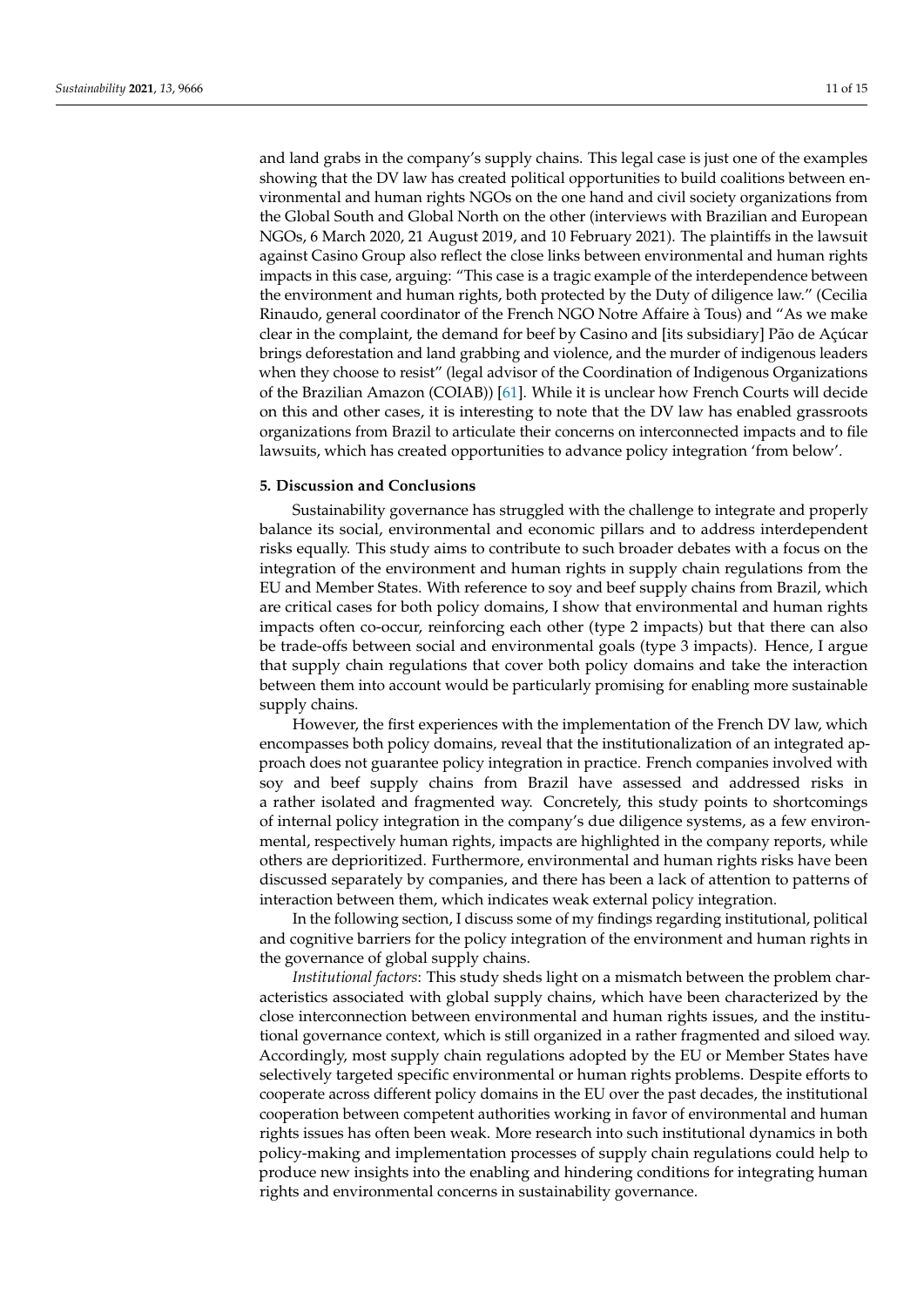and land grabs in the company's supply chains. This legal case is just one of the examples showing that the DV law has created political opportunities to build coalitions between environmental and human rights NGOs on the one hand and civil society organizations from the Global South and Global North on the other (interviews with Brazilian and European NGOs, 6 March 2020, 21 August 2019, and 10 February 2021). The plaintiffs in the lawsuit against Casino Group also reflect the close links between environmental and human rights impacts in this case, arguing: "This case is a tragic example of the interdependence between the environment and human rights, both protected by the Duty of diligence law." (Cecilia Rinaudo, general coordinator of the French NGO Notre Affaire à Tous) and "As we make clear in the complaint, the demand for beef by Casino and [its subsidiary] Pão de Açúcar brings deforestation and land grabbing and violence, and the murder of indigenous leaders when they choose to resist" (legal advisor of the Coordination of Indigenous Organizations of the Brazilian Amazon (COIAB)) [\[61\]](#page-14-19). While it is unclear how French Courts will decide on this and other cases, it is interesting to note that the DV law has enabled grassroots organizations from Brazil to articulate their concerns on interconnected impacts and to file lawsuits, which has created opportunities to advance policy integration 'from below'.

#### **5. Discussion and Conclusions**

Sustainability governance has struggled with the challenge to integrate and properly balance its social, environmental and economic pillars and to address interdependent risks equally. This study aims to contribute to such broader debates with a focus on the integration of the environment and human rights in supply chain regulations from the EU and Member States. With reference to soy and beef supply chains from Brazil, which are critical cases for both policy domains, I show that environmental and human rights impacts often co-occur, reinforcing each other (type 2 impacts) but that there can also be trade-offs between social and environmental goals (type 3 impacts). Hence, I argue that supply chain regulations that cover both policy domains and take the interaction between them into account would be particularly promising for enabling more sustainable supply chains.

However, the first experiences with the implementation of the French DV law, which encompasses both policy domains, reveal that the institutionalization of an integrated approach does not guarantee policy integration in practice. French companies involved with soy and beef supply chains from Brazil have assessed and addressed risks in a rather isolated and fragmented way. Concretely, this study points to shortcomings of internal policy integration in the company's due diligence systems, as a few environmental, respectively human rights, impacts are highlighted in the company reports, while others are deprioritized. Furthermore, environmental and human rights risks have been discussed separately by companies, and there has been a lack of attention to patterns of interaction between them, which indicates weak external policy integration.

In the following section, I discuss some of my findings regarding institutional, political and cognitive barriers for the policy integration of the environment and human rights in the governance of global supply chains.

*Institutional factors*: This study sheds light on a mismatch between the problem characteristics associated with global supply chains, which have been characterized by the close interconnection between environmental and human rights issues, and the institutional governance context, which is still organized in a rather fragmented and siloed way. Accordingly, most supply chain regulations adopted by the EU or Member States have selectively targeted specific environmental or human rights problems. Despite efforts to cooperate across different policy domains in the EU over the past decades, the institutional cooperation between competent authorities working in favor of environmental and human rights issues has often been weak. More research into such institutional dynamics in both policy-making and implementation processes of supply chain regulations could help to produce new insights into the enabling and hindering conditions for integrating human rights and environmental concerns in sustainability governance.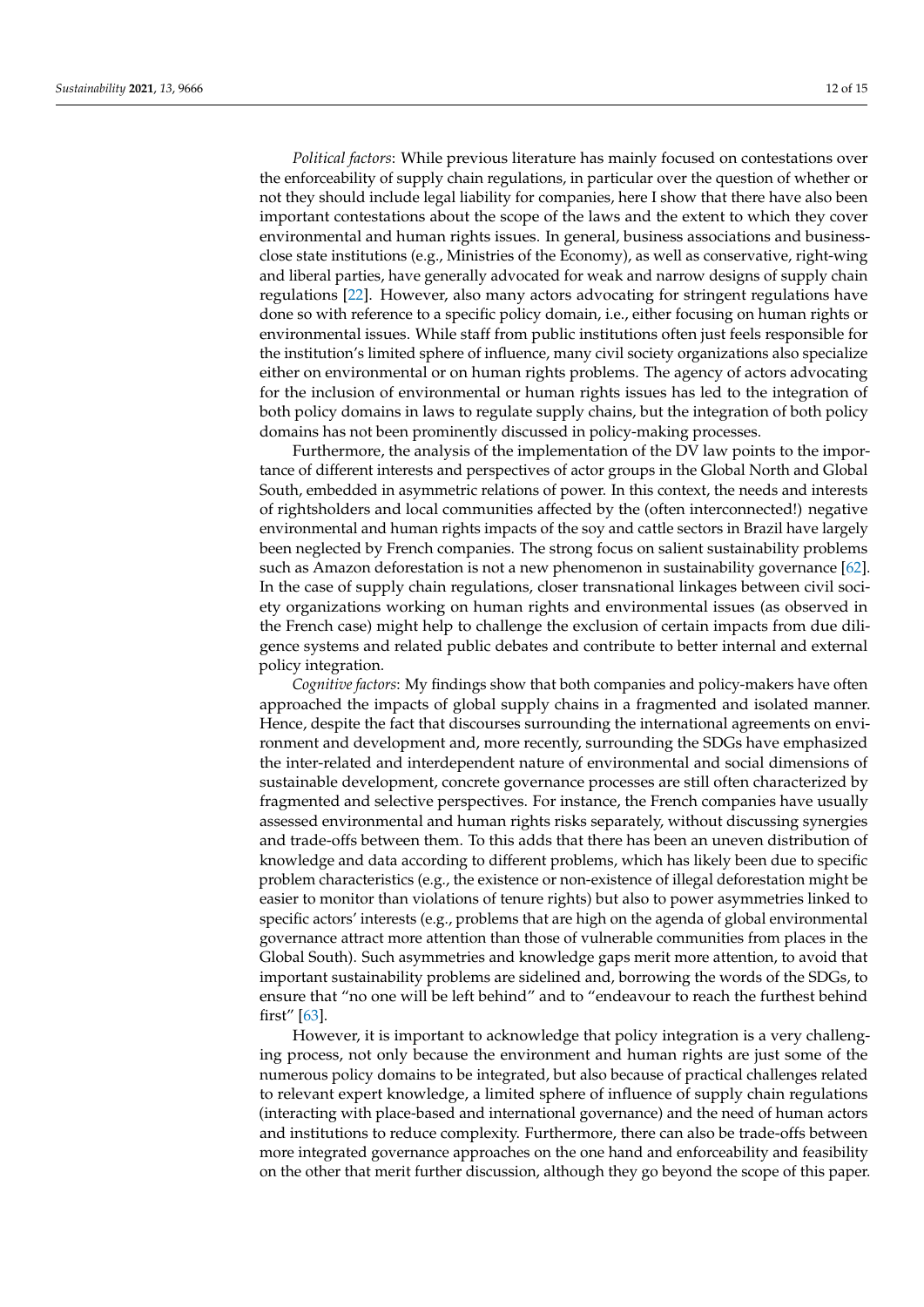*Political factors*: While previous literature has mainly focused on contestations over the enforceability of supply chain regulations, in particular over the question of whether or not they should include legal liability for companies, here I show that there have also been important contestations about the scope of the laws and the extent to which they cover environmental and human rights issues. In general, business associations and businessclose state institutions (e.g., Ministries of the Economy), as well as conservative, right-wing and liberal parties, have generally advocated for weak and narrow designs of supply chain regulations [\[22\]](#page-13-7). However, also many actors advocating for stringent regulations have done so with reference to a specific policy domain, i.e., either focusing on human rights or environmental issues. While staff from public institutions often just feels responsible for the institution's limited sphere of influence, many civil society organizations also specialize either on environmental or on human rights problems. The agency of actors advocating for the inclusion of environmental or human rights issues has led to the integration of both policy domains in laws to regulate supply chains, but the integration of both policy domains has not been prominently discussed in policy-making processes.

Furthermore, the analysis of the implementation of the DV law points to the importance of different interests and perspectives of actor groups in the Global North and Global South, embedded in asymmetric relations of power. In this context, the needs and interests of rightsholders and local communities affected by the (often interconnected!) negative environmental and human rights impacts of the soy and cattle sectors in Brazil have largely been neglected by French companies. The strong focus on salient sustainability problems such as Amazon deforestation is not a new phenomenon in sustainability governance [\[62\]](#page-14-20). In the case of supply chain regulations, closer transnational linkages between civil society organizations working on human rights and environmental issues (as observed in the French case) might help to challenge the exclusion of certain impacts from due diligence systems and related public debates and contribute to better internal and external policy integration.

*Cognitive factors*: My findings show that both companies and policy-makers have often approached the impacts of global supply chains in a fragmented and isolated manner. Hence, despite the fact that discourses surrounding the international agreements on environment and development and, more recently, surrounding the SDGs have emphasized the inter-related and interdependent nature of environmental and social dimensions of sustainable development, concrete governance processes are still often characterized by fragmented and selective perspectives. For instance, the French companies have usually assessed environmental and human rights risks separately, without discussing synergies and trade-offs between them. To this adds that there has been an uneven distribution of knowledge and data according to different problems, which has likely been due to specific problem characteristics (e.g., the existence or non-existence of illegal deforestation might be easier to monitor than violations of tenure rights) but also to power asymmetries linked to specific actors' interests (e.g., problems that are high on the agenda of global environmental governance attract more attention than those of vulnerable communities from places in the Global South). Such asymmetries and knowledge gaps merit more attention, to avoid that important sustainability problems are sidelined and, borrowing the words of the SDGs, to ensure that "no one will be left behind" and to "endeavour to reach the furthest behind first" [\[63\]](#page-14-21).

However, it is important to acknowledge that policy integration is a very challenging process, not only because the environment and human rights are just some of the numerous policy domains to be integrated, but also because of practical challenges related to relevant expert knowledge, a limited sphere of influence of supply chain regulations (interacting with place-based and international governance) and the need of human actors and institutions to reduce complexity. Furthermore, there can also be trade-offs between more integrated governance approaches on the one hand and enforceability and feasibility on the other that merit further discussion, although they go beyond the scope of this paper.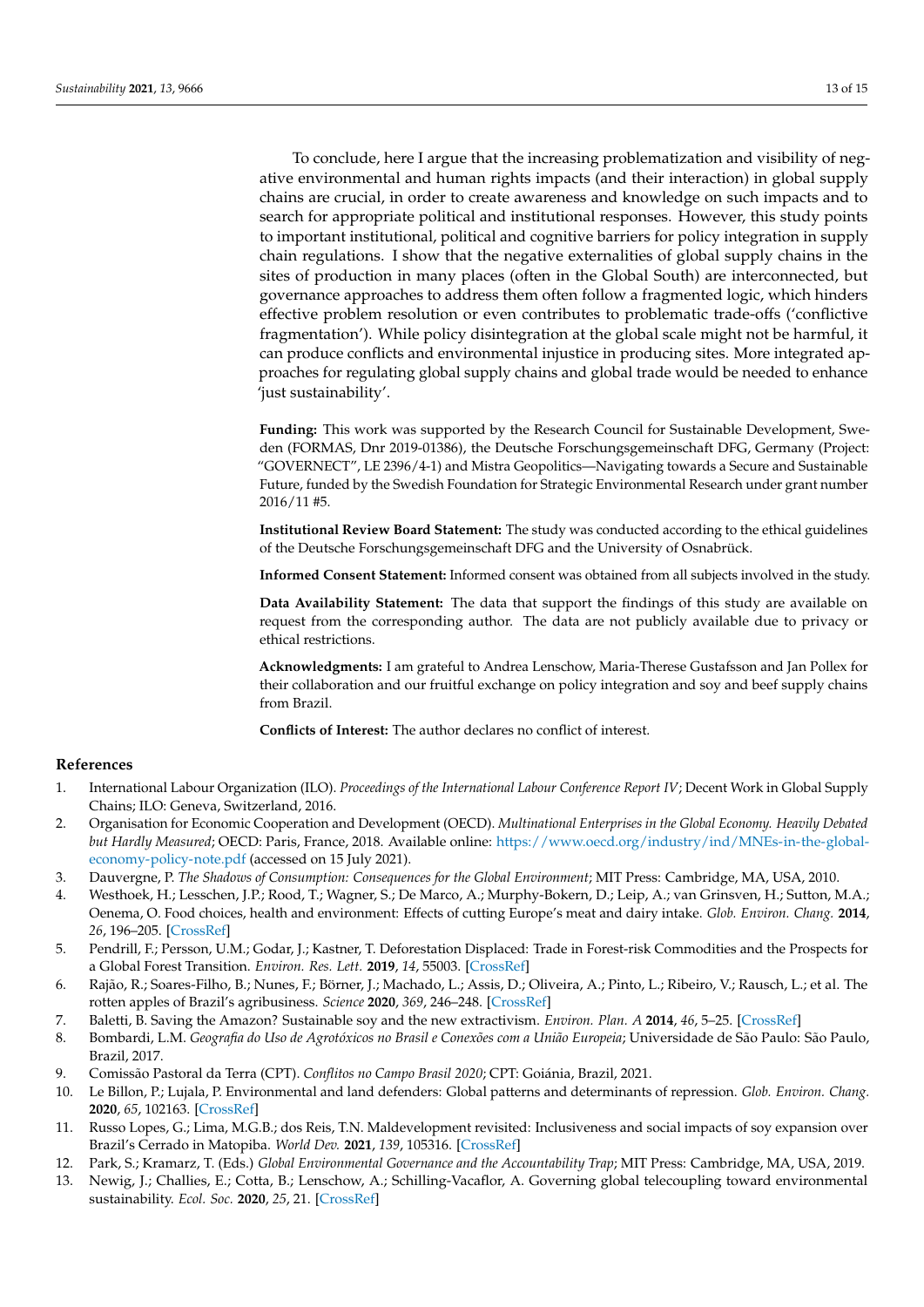To conclude, here I argue that the increasing problematization and visibility of negative environmental and human rights impacts (and their interaction) in global supply chains are crucial, in order to create awareness and knowledge on such impacts and to search for appropriate political and institutional responses. However, this study points to important institutional, political and cognitive barriers for policy integration in supply chain regulations. I show that the negative externalities of global supply chains in the sites of production in many places (often in the Global South) are interconnected, but governance approaches to address them often follow a fragmented logic, which hinders effective problem resolution or even contributes to problematic trade-offs ('conflictive fragmentation'). While policy disintegration at the global scale might not be harmful, it can produce conflicts and environmental injustice in producing sites. More integrated approaches for regulating global supply chains and global trade would be needed to enhance 'just sustainability'.

**Funding:** This work was supported by the Research Council for Sustainable Development, Sweden (FORMAS, Dnr 2019-01386), the Deutsche Forschungsgemeinschaft DFG, Germany (Project: "GOVERNECT", LE 2396/4-1) and Mistra Geopolitics—Navigating towards a Secure and Sustainable Future, funded by the Swedish Foundation for Strategic Environmental Research under grant number 2016/11 #5.

**Institutional Review Board Statement:** The study was conducted according to the ethical guidelines of the Deutsche Forschungsgemeinschaft DFG and the University of Osnabrück.

**Informed Consent Statement:** Informed consent was obtained from all subjects involved in the study.

**Data Availability Statement:** The data that support the findings of this study are available on request from the corresponding author. The data are not publicly available due to privacy or ethical restrictions.

**Acknowledgments:** I am grateful to Andrea Lenschow, Maria-Therese Gustafsson and Jan Pollex for their collaboration and our fruitful exchange on policy integration and soy and beef supply chains from Brazil.

**Conflicts of Interest:** The author declares no conflict of interest.

#### **References**

- <span id="page-12-0"></span>1. International Labour Organization (ILO). *Proceedings of the International Labour Conference Report IV*; Decent Work in Global Supply Chains; ILO: Geneva, Switzerland, 2016.
- <span id="page-12-1"></span>2. Organisation for Economic Cooperation and Development (OECD). *Multinational Enterprises in the Global Economy. Heavily Debated but Hardly Measured*; OECD: Paris, France, 2018. Available online: [https://www.oecd.org/industry/ind/MNEs-in-the-global](https://www.oecd.org/industry/ind/MNEs-in-the-global-economy-policy-note.pdf)[economy-policy-note.pdf](https://www.oecd.org/industry/ind/MNEs-in-the-global-economy-policy-note.pdf) (accessed on 15 July 2021).
- <span id="page-12-2"></span>3. Dauvergne, P. *The Shadows of Consumption: Consequences for the Global Environment*; MIT Press: Cambridge, MA, USA, 2010.
- 4. Westhoek, H.; Lesschen, J.P.; Rood, T.; Wagner, S.; De Marco, A.; Murphy-Bokern, D.; Leip, A.; van Grinsven, H.; Sutton, M.A.; Oenema, O. Food choices, health and environment: Effects of cutting Europe's meat and dairy intake. *Glob. Environ. Chang.* **2014**, *26*, 196–205. [\[CrossRef\]](http://doi.org/10.1016/j.gloenvcha.2014.02.004)
- <span id="page-12-3"></span>5. Pendrill, F.; Persson, U.M.; Godar, J.; Kastner, T. Deforestation Displaced: Trade in Forest-risk Commodities and the Prospects for a Global Forest Transition. *Environ. Res. Lett.* **2019**, *14*, 55003. [\[CrossRef\]](http://doi.org/10.1088/1748-9326/ab0d41)
- <span id="page-12-4"></span>6. Rajão, R.; Soares-Filho, B.; Nunes, F.; Börner, J.; Machado, L.; Assis, D.; Oliveira, A.; Pinto, L.; Ribeiro, V.; Rausch, L.; et al. The rotten apples of Brazil's agribusiness. *Science* **2020**, *369*, 246–248. [\[CrossRef\]](http://doi.org/10.1126/science.aba6646)
- <span id="page-12-5"></span>7. Baletti, B. Saving the Amazon? Sustainable soy and the new extractivism. *Environ. Plan. A* **2014**, *46*, 5–25. [\[CrossRef\]](http://doi.org/10.1068/a45241)
- <span id="page-12-9"></span>8. Bombardi, L.M. *Geografia do Uso de Agrotóxicos no Brasil e Conexões com a União Europeia*; Universidade de São Paulo: São Paulo, Brazil, 2017.
- <span id="page-12-8"></span>9. Comissão Pastoral da Terra (CPT). *Conflitos no Campo Brasil 2020*; CPT: Goiánia, Brazil, 2021.
- <span id="page-12-10"></span>10. Le Billon, P.; Lujala, P. Environmental and land defenders: Global patterns and determinants of repression. *Glob. Environ. Chang.* **2020**, *65*, 102163. [\[CrossRef\]](http://doi.org/10.1016/j.gloenvcha.2020.102163)
- <span id="page-12-6"></span>11. Russo Lopes, G.; Lima, M.G.B.; dos Reis, T.N. Maldevelopment revisited: Inclusiveness and social impacts of soy expansion over Brazil's Cerrado in Matopiba. *World Dev.* **2021**, *139*, 105316. [\[CrossRef\]](http://doi.org/10.1016/j.worlddev.2020.105316)
- <span id="page-12-7"></span>12. Park, S.; Kramarz, T. (Eds.) *Global Environmental Governance and the Accountability Trap*; MIT Press: Cambridge, MA, USA, 2019.
- 13. Newig, J.; Challies, E.; Cotta, B.; Lenschow, A.; Schilling-Vacaflor, A. Governing global telecoupling toward environmental sustainability. *Ecol. Soc.* **2020**, *25*, 21. [\[CrossRef\]](http://doi.org/10.5751/ES-11844-250421)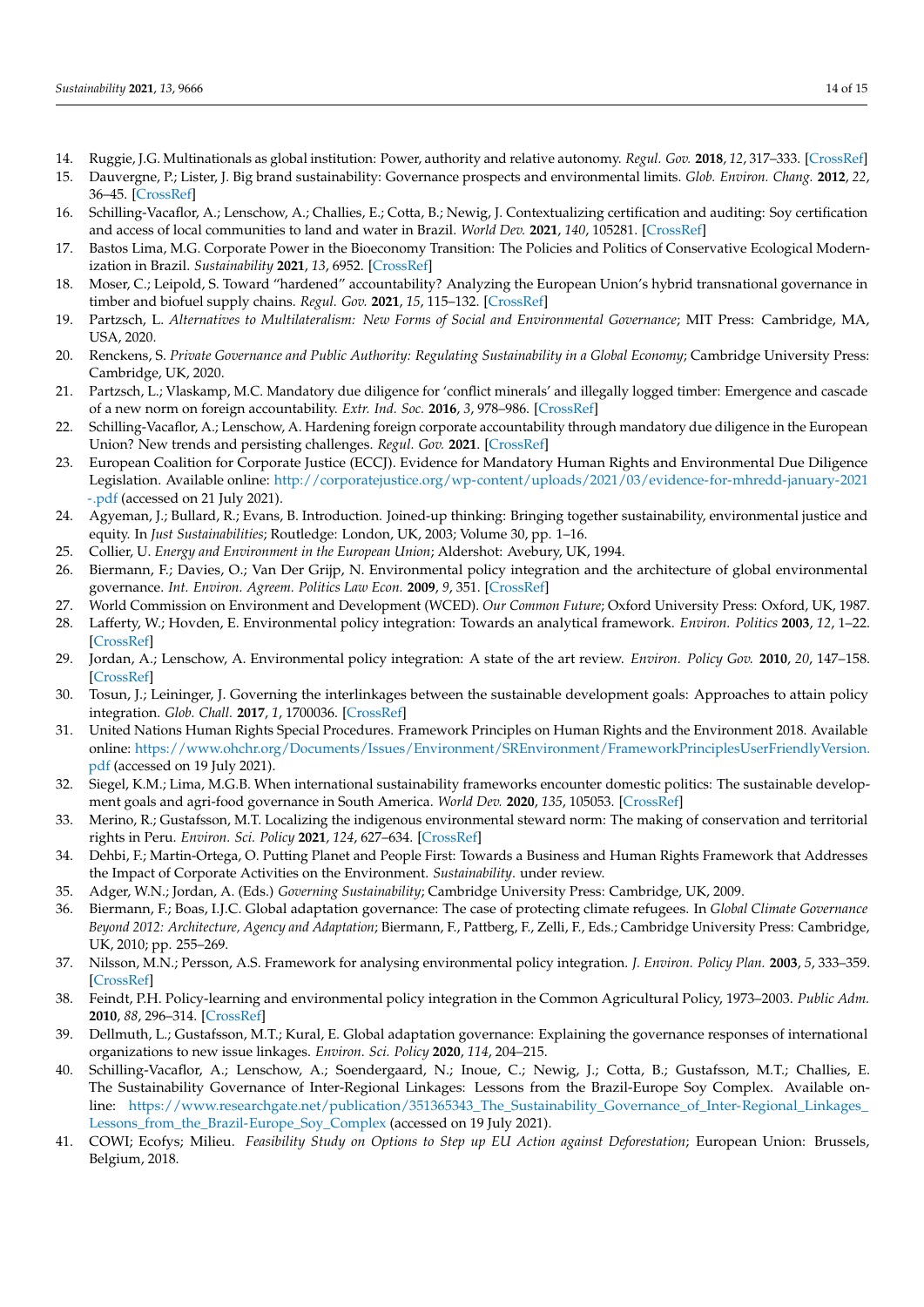- <span id="page-13-0"></span>14. Ruggie, J.G. Multinationals as global institution: Power, authority and relative autonomy. *Regul. Gov.* **2018**, *12*, 317–333. [\[CrossRef\]](http://doi.org/10.1111/rego.12154)
- <span id="page-13-1"></span>15. Dauvergne, P.; Lister, J. Big brand sustainability: Governance prospects and environmental limits. *Glob. Environ. Chang.* **2012**, *22*, 36–45. [\[CrossRef\]](http://doi.org/10.1016/j.gloenvcha.2011.10.007)
- <span id="page-13-2"></span>16. Schilling-Vacaflor, A.; Lenschow, A.; Challies, E.; Cotta, B.; Newig, J. Contextualizing certification and auditing: Soy certification and access of local communities to land and water in Brazil. *World Dev.* **2021**, *140*, 105281. [\[CrossRef\]](http://doi.org/10.1016/j.worlddev.2020.105281)
- <span id="page-13-3"></span>17. Bastos Lima, M.G. Corporate Power in the Bioeconomy Transition: The Policies and Politics of Conservative Ecological Modernization in Brazil. *Sustainability* **2021**, *13*, 6952. [\[CrossRef\]](http://doi.org/10.3390/su13126952)
- <span id="page-13-4"></span>18. Moser, C.; Leipold, S. Toward "hardened" accountability? Analyzing the European Union's hybrid transnational governance in timber and biofuel supply chains. *Regul. Gov.* **2021**, *15*, 115–132. [\[CrossRef\]](http://doi.org/10.1111/rego.12268)
- 19. Partzsch, L. *Alternatives to Multilateralism: New Forms of Social and Environmental Governance*; MIT Press: Cambridge, MA, USA, 2020.
- <span id="page-13-5"></span>20. Renckens, S. *Private Governance and Public Authority: Regulating Sustainability in a Global Economy*; Cambridge University Press: Cambridge, UK, 2020.
- <span id="page-13-6"></span>21. Partzsch, L.; Vlaskamp, M.C. Mandatory due diligence for 'conflict minerals' and illegally logged timber: Emergence and cascade of a new norm on foreign accountability. *Extr. Ind. Soc.* **2016**, *3*, 978–986. [\[CrossRef\]](http://doi.org/10.1016/j.exis.2016.07.003)
- <span id="page-13-7"></span>22. Schilling-Vacaflor, A.; Lenschow, A. Hardening foreign corporate accountability through mandatory due diligence in the European Union? New trends and persisting challenges. *Regul. Gov.* **2021**. [\[CrossRef\]](http://doi.org/10.1111/rego.12402)
- <span id="page-13-8"></span>23. European Coalition for Corporate Justice (ECCJ). Evidence for Mandatory Human Rights and Environmental Due Diligence Legislation. Available online: [http://corporatejustice.org/wp-content/uploads/2021/03/evidence-for-mhredd-january-2021](http://corporatejustice.org/wp-content/uploads/2021/03/evidence-for-mhredd-january-2021-.pdf) [-.pdf](http://corporatejustice.org/wp-content/uploads/2021/03/evidence-for-mhredd-january-2021-.pdf) (accessed on 21 July 2021).
- <span id="page-13-9"></span>24. Agyeman, J.; Bullard, R.; Evans, B. Introduction. Joined-up thinking: Bringing together sustainability, environmental justice and equity. In *Just Sustainabilities*; Routledge: London, UK, 2003; Volume 30, pp. 1–16.
- <span id="page-13-10"></span>25. Collier, U. *Energy and Environment in the European Union*; Aldershot: Avebury, UK, 1994.
- <span id="page-13-11"></span>26. Biermann, F.; Davies, O.; Van Der Grijp, N. Environmental policy integration and the architecture of global environmental governance. *Int. Environ. Agreem. Politics Law Econ.* **2009**, *9*, 351. [\[CrossRef\]](http://doi.org/10.1007/s10784-009-9111-0)
- <span id="page-13-12"></span>27. World Commission on Environment and Development (WCED). *Our Common Future*; Oxford University Press: Oxford, UK, 1987.
- <span id="page-13-13"></span>28. Lafferty, W.; Hovden, E. Environmental policy integration: Towards an analytical framework. *Environ. Politics* **2003**, *12*, 1–22. [\[CrossRef\]](http://doi.org/10.1080/09644010412331308254)
- <span id="page-13-14"></span>29. Jordan, A.; Lenschow, A. Environmental policy integration: A state of the art review. *Environ. Policy Gov.* **2010**, *20*, 147–158. [\[CrossRef\]](http://doi.org/10.1002/eet.539)
- <span id="page-13-15"></span>30. Tosun, J.; Leininger, J. Governing the interlinkages between the sustainable development goals: Approaches to attain policy integration. *Glob. Chall.* **2017**, *1*, 1700036. [\[CrossRef\]](http://doi.org/10.1002/gch2.201700036)
- <span id="page-13-16"></span>31. United Nations Human Rights Special Procedures. Framework Principles on Human Rights and the Environment 2018. Available online: [https://www.ohchr.org/Documents/Issues/Environment/SREnvironment/FrameworkPrinciplesUserFriendlyVersion.](https://www.ohchr.org/Documents/Issues/Environment/SREnvironment/FrameworkPrinciplesUserFriendlyVersion.pdf) [pdf](https://www.ohchr.org/Documents/Issues/Environment/SREnvironment/FrameworkPrinciplesUserFriendlyVersion.pdf) (accessed on 19 July 2021).
- <span id="page-13-17"></span>32. Siegel, K.M.; Lima, M.G.B. When international sustainability frameworks encounter domestic politics: The sustainable development goals and agri-food governance in South America. *World Dev.* **2020**, *135*, 105053. [\[CrossRef\]](http://doi.org/10.1016/j.worlddev.2020.105053)
- <span id="page-13-18"></span>33. Merino, R.; Gustafsson, M.T. Localizing the indigenous environmental steward norm: The making of conservation and territorial rights in Peru. *Environ. Sci. Policy* **2021**, *124*, 627–634. [\[CrossRef\]](http://doi.org/10.1016/j.envsci.2021.07.005)
- <span id="page-13-19"></span>34. Dehbi, F.; Martin-Ortega, O. Putting Planet and People First: Towards a Business and Human Rights Framework that Addresses the Impact of Corporate Activities on the Environment. *Sustainability*. under review.
- <span id="page-13-20"></span>35. Adger, W.N.; Jordan, A. (Eds.) *Governing Sustainability*; Cambridge University Press: Cambridge, UK, 2009.
- <span id="page-13-21"></span>36. Biermann, F.; Boas, I.J.C. Global adaptation governance: The case of protecting climate refugees. In *Global Climate Governance Beyond 2012: Architecture, Agency and Adaptation*; Biermann, F., Pattberg, F., Zelli, F., Eds.; Cambridge University Press: Cambridge, UK, 2010; pp. 255–269.
- <span id="page-13-22"></span>37. Nilsson, M.N.; Persson, A.S. Framework for analysing environmental policy integration. *J. Environ. Policy Plan.* **2003**, *5*, 333–359. [\[CrossRef\]](http://doi.org/10.1080/1523908032000171648)
- <span id="page-13-23"></span>38. Feindt, P.H. Policy-learning and environmental policy integration in the Common Agricultural Policy, 1973–2003. *Public Adm.* **2010**, *88*, 296–314. [\[CrossRef\]](http://doi.org/10.1111/j.1467-9299.2010.01833.x)
- <span id="page-13-24"></span>39. Dellmuth, L.; Gustafsson, M.T.; Kural, E. Global adaptation governance: Explaining the governance responses of international organizations to new issue linkages. *Environ. Sci. Policy* **2020**, *114*, 204–215.
- <span id="page-13-25"></span>40. Schilling-Vacaflor, A.; Lenschow, A.; Soendergaard, N.; Inoue, C.; Newig, J.; Cotta, B.; Gustafsson, M.T.; Challies, E. The Sustainability Governance of Inter-Regional Linkages: Lessons from the Brazil-Europe Soy Complex. Available online: [https://www.researchgate.net/publication/351365343\\_The\\_Sustainability\\_Governance\\_of\\_Inter-Regional\\_Linkages\\_](https://www.researchgate.net/publication/351365343_The_Sustainability_Governance_of_Inter-Regional_Linkages_Lessons_from_the_Brazil-Europe_Soy_Complex) [Lessons\\_from\\_the\\_Brazil-Europe\\_Soy\\_Complex](https://www.researchgate.net/publication/351365343_The_Sustainability_Governance_of_Inter-Regional_Linkages_Lessons_from_the_Brazil-Europe_Soy_Complex) (accessed on 19 July 2021).
- <span id="page-13-26"></span>41. COWI; Ecofys; Milieu. *Feasibility Study on Options to Step up EU Action against Deforestation*; European Union: Brussels, Belgium, 2018.